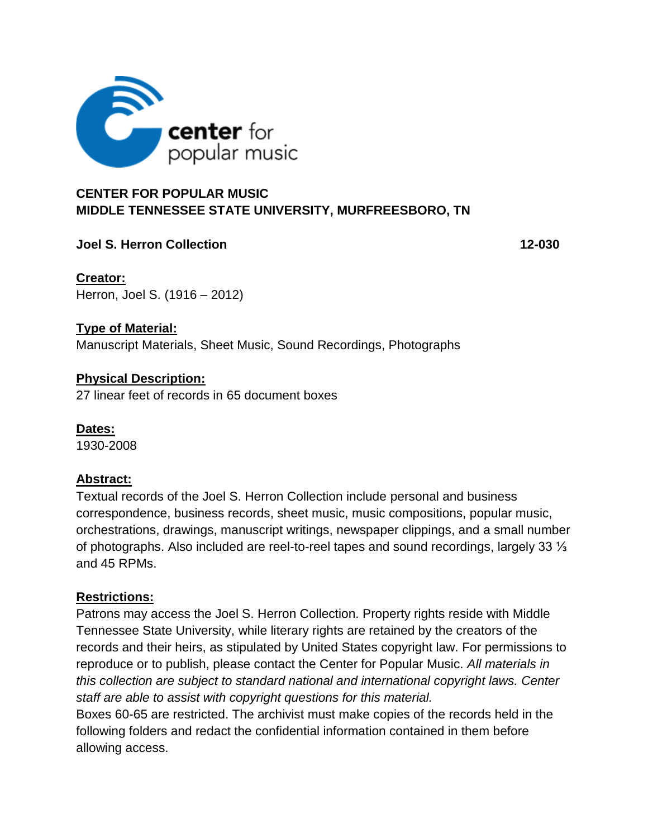

### **CENTER FOR POPULAR MUSIC MIDDLE TENNESSEE STATE UNIVERSITY, MURFREESBORO, TN**

### **Joel S. Herron Collection 12-030**

**Creator:** Herron, Joel S. (1916 – 2012)

### **Type of Material:**

Manuscript Materials, Sheet Music, Sound Recordings, Photographs

### **Physical Description:**

27 linear feet of records in 65 document boxes

**Dates:** 1930-2008

### **Abstract:**

Textual records of the Joel S. Herron Collection include personal and business correspondence, business records, sheet music, music compositions, popular music, orchestrations, drawings, manuscript writings, newspaper clippings, and a small number of photographs. Also included are reel-to-reel tapes and sound recordings, largely 33 ⅓ and 45 RPMs.

### **Restrictions:**

Patrons may access the Joel S. Herron Collection. Property rights reside with Middle Tennessee State University, while literary rights are retained by the creators of the records and their heirs, as stipulated by United States copyright law. For permissions to reproduce or to publish, please contact the Center for Popular Music. *All materials in this collection are subject to standard national and international copyright laws. Center staff are able to assist with copyright questions for this material.* 

Boxes 60-65 are restricted. The archivist must make copies of the records held in the following folders and redact the confidential information contained in them before allowing access.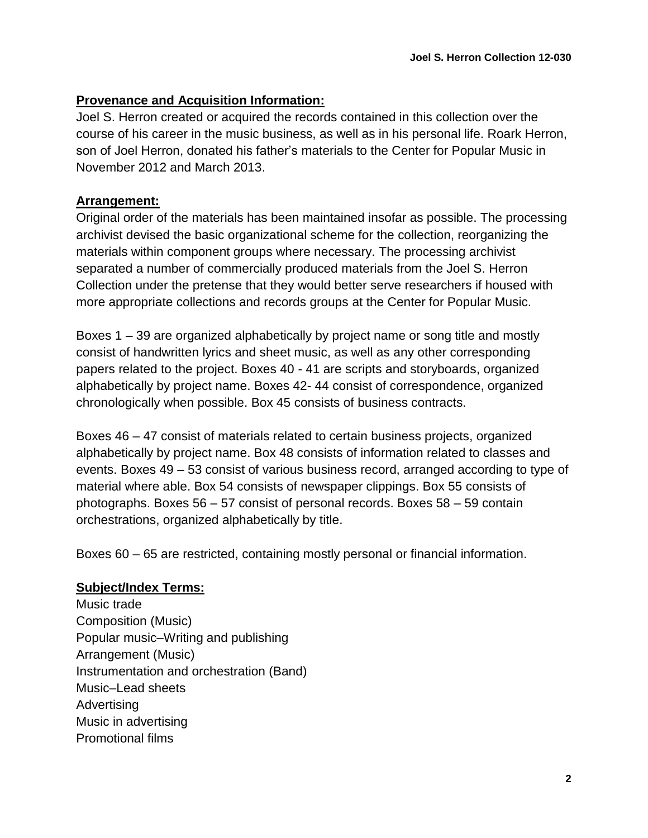### **Provenance and Acquisition Information:**

Joel S. Herron created or acquired the records contained in this collection over the course of his career in the music business, as well as in his personal life. Roark Herron, son of Joel Herron, donated his father's materials to the Center for Popular Music in November 2012 and March 2013.

### **Arrangement:**

Original order of the materials has been maintained insofar as possible. The processing archivist devised the basic organizational scheme for the collection, reorganizing the materials within component groups where necessary. The processing archivist separated a number of commercially produced materials from the Joel S. Herron Collection under the pretense that they would better serve researchers if housed with more appropriate collections and records groups at the Center for Popular Music.

Boxes 1 – 39 are organized alphabetically by project name or song title and mostly consist of handwritten lyrics and sheet music, as well as any other corresponding papers related to the project. Boxes 40 - 41 are scripts and storyboards, organized alphabetically by project name. Boxes 42- 44 consist of correspondence, organized chronologically when possible. Box 45 consists of business contracts.

Boxes 46 – 47 consist of materials related to certain business projects, organized alphabetically by project name. Box 48 consists of information related to classes and events. Boxes 49 – 53 consist of various business record, arranged according to type of material where able. Box 54 consists of newspaper clippings. Box 55 consists of photographs. Boxes 56 – 57 consist of personal records. Boxes 58 – 59 contain orchestrations, organized alphabetically by title.

Boxes 60 – 65 are restricted, containing mostly personal or financial information.

### **Subject/Index Terms:**

Music trade Composition (Music) Popular music–Writing and publishing Arrangement (Music) Instrumentation and orchestration (Band) Music–Lead sheets **Advertising** Music in advertising Promotional films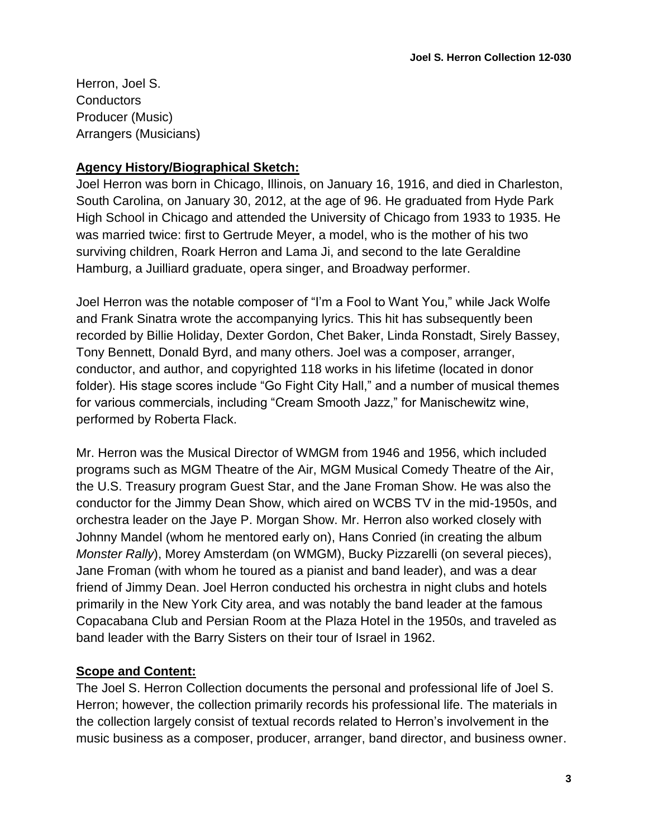Herron, Joel S. **Conductors** Producer (Music) Arrangers (Musicians)

### **Agency History/Biographical Sketch:**

Joel Herron was born in Chicago, Illinois, on January 16, 1916, and died in Charleston, South Carolina, on January 30, 2012, at the age of 96. He graduated from Hyde Park High School in Chicago and attended the University of Chicago from 1933 to 1935. He was married twice: first to Gertrude Meyer, a model, who is the mother of his two surviving children, Roark Herron and Lama Ji, and second to the late Geraldine Hamburg, a Juilliard graduate, opera singer, and Broadway performer.

Joel Herron was the notable composer of "I'm a Fool to Want You," while Jack Wolfe and Frank Sinatra wrote the accompanying lyrics. This hit has subsequently been recorded by Billie Holiday, Dexter Gordon, Chet Baker, Linda Ronstadt, Sirely Bassey, Tony Bennett, Donald Byrd, and many others. Joel was a composer, arranger, conductor, and author, and copyrighted 118 works in his lifetime (located in donor folder). His stage scores include "Go Fight City Hall," and a number of musical themes for various commercials, including "Cream Smooth Jazz," for Manischewitz wine, performed by Roberta Flack.

Mr. Herron was the Musical Director of WMGM from 1946 and 1956, which included programs such as MGM Theatre of the Air, MGM Musical Comedy Theatre of the Air, the U.S. Treasury program Guest Star, and the Jane Froman Show. He was also the conductor for the Jimmy Dean Show, which aired on WCBS TV in the mid-1950s, and orchestra leader on the Jaye P. Morgan Show. Mr. Herron also worked closely with Johnny Mandel (whom he mentored early on), Hans Conried (in creating the album *Monster Rally*), Morey Amsterdam (on WMGM), Bucky Pizzarelli (on several pieces), Jane Froman (with whom he toured as a pianist and band leader), and was a dear friend of Jimmy Dean. Joel Herron conducted his orchestra in night clubs and hotels primarily in the New York City area, and was notably the band leader at the famous Copacabana Club and Persian Room at the Plaza Hotel in the 1950s, and traveled as band leader with the Barry Sisters on their tour of Israel in 1962.

## **Scope and Content:**

The Joel S. Herron Collection documents the personal and professional life of Joel S. Herron; however, the collection primarily records his professional life. The materials in the collection largely consist of textual records related to Herron's involvement in the music business as a composer, producer, arranger, band director, and business owner.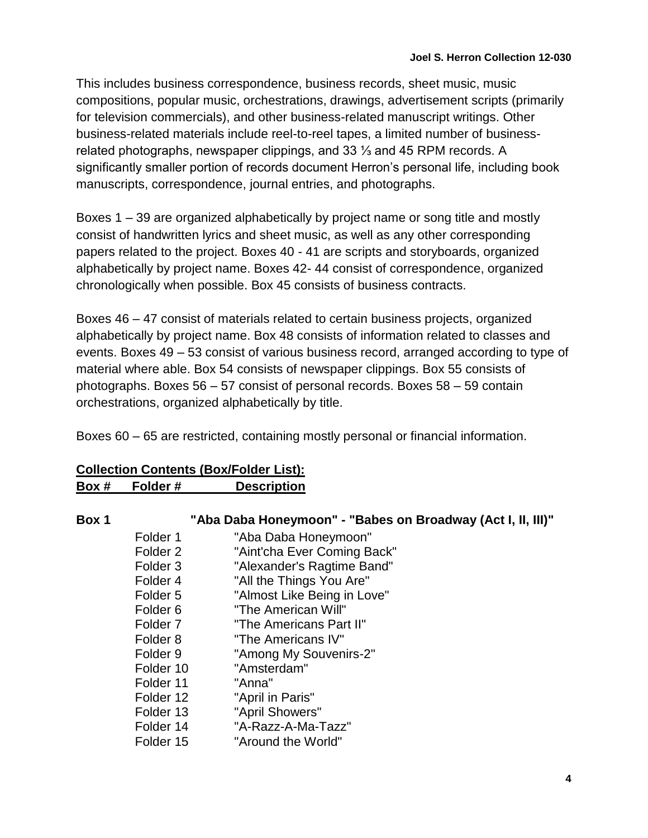This includes business correspondence, business records, sheet music, music compositions, popular music, orchestrations, drawings, advertisement scripts (primarily for television commercials), and other business-related manuscript writings. Other business-related materials include reel-to-reel tapes, a limited number of businessrelated photographs, newspaper clippings, and 33 ⅓ and 45 RPM records. A significantly smaller portion of records document Herron's personal life, including book manuscripts, correspondence, journal entries, and photographs.

Boxes 1 – 39 are organized alphabetically by project name or song title and mostly consist of handwritten lyrics and sheet music, as well as any other corresponding papers related to the project. Boxes 40 - 41 are scripts and storyboards, organized alphabetically by project name. Boxes 42- 44 consist of correspondence, organized chronologically when possible. Box 45 consists of business contracts.

Boxes 46 – 47 consist of materials related to certain business projects, organized alphabetically by project name. Box 48 consists of information related to classes and events. Boxes 49 – 53 consist of various business record, arranged according to type of material where able. Box 54 consists of newspaper clippings. Box 55 consists of photographs. Boxes 56 – 57 consist of personal records. Boxes 58 – 59 contain orchestrations, organized alphabetically by title.

Boxes 60 – 65 are restricted, containing mostly personal or financial information.

| "Aba Daba Honeymoon" - "Babes on Broadway (Act I, II, III)" |
|-------------------------------------------------------------|
| "Aba Daba Honeymoon"                                        |
| "Aint'cha Ever Coming Back"                                 |
| "Alexander's Ragtime Band"                                  |
| "All the Things You Are"                                    |
| "Almost Like Being in Love"                                 |
| "The American Will"                                         |
| "The Americans Part II"                                     |
| "The Americans IV"                                          |
| "Among My Souvenirs-2"                                      |
| "Amsterdam"                                                 |
| "Anna"                                                      |
| "April in Paris"                                            |
| "April Showers"                                             |
| "A-Razz-A-Ma-Tazz"                                          |
| "Around the World"                                          |
| Folder 12<br>Folder 13                                      |

### **Collection Contents (Box/Folder List): Box # Folder # Description**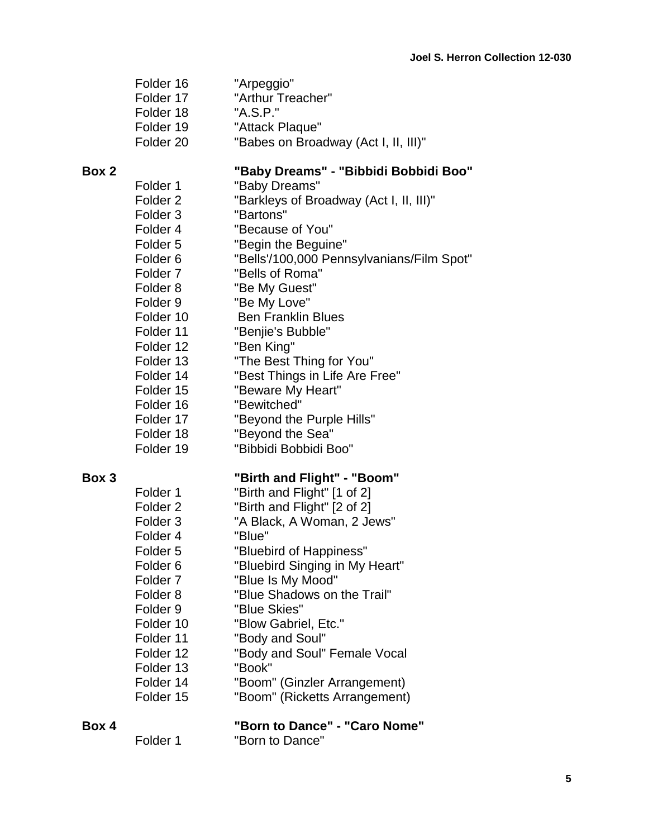| Folder 16 | "Arpeggio"                           |
|-----------|--------------------------------------|
| Folder 17 | "Arthur Treacher"                    |
| Folder 18 | "A.S.P."                             |
| Folder 19 | "Attack Plaque"                      |
| Folder 20 | "Babes on Broadway (Act I, II, III)" |
|           |                                      |

# **Box 2 "Baby Dreams" - "Bibbidi Bobbidi Boo"**

| Folder 1            | "Baby Dreams"                             |
|---------------------|-------------------------------------------|
| Folder <sub>2</sub> | "Barkleys of Broadway (Act I, II, III)"   |
| Folder <sub>3</sub> | "Bartons"                                 |
| Folder 4            | "Because of You"                          |
| Folder <sub>5</sub> | "Begin the Beguine"                       |
| Folder <sub>6</sub> | "Bells'/100,000 Pennsylvanians/Film Spot" |
| Folder <sub>7</sub> | "Bells of Roma"                           |
| Folder 8            | "Be My Guest"                             |
| Folder 9            | "Be My Love"                              |
| Folder 10           | <b>Ben Franklin Blues</b>                 |
| Folder 11           | "Benjie's Bubble"                         |
| Folder 12           | "Ben King"                                |
| Folder 13           | "The Best Thing for You"                  |
| Folder 14           | "Best Things in Life Are Free"            |
| Folder 15           | "Beware My Heart"                         |
| Folder 16           | "Bewitched"                               |
| Folder 17           | "Beyond the Purple Hills"                 |
| Folder 18           | "Beyond the Sea"                          |
| Folder 19           | "Bibbidi Bobbidi Boo"                     |
|                     |                                           |
|                     | .                                         |

### **Box 3 "Birth and Flight" - "Boom"**

| Folder <sub>1</sub> | "Birth and Flight" [1 of 2]    |
|---------------------|--------------------------------|
| Folder <sub>2</sub> | "Birth and Flight" [2 of 2]    |
| Folder <sub>3</sub> | "A Black, A Woman, 2 Jews"     |
| Folder <sub>4</sub> | "Blue"                         |
| Folder <sub>5</sub> | "Bluebird of Happiness"        |
| Folder <sub>6</sub> | "Bluebird Singing in My Heart" |
| Folder <sub>7</sub> | "Blue Is My Mood"              |
| Folder <sub>8</sub> | "Blue Shadows on the Trail"    |
| Folder <sub>9</sub> | "Blue Skies"                   |
| Folder 10           | "Blow Gabriel, Etc."           |
| Folder 11           | "Body and Soul"                |
| Folder 12           | "Body and Soul" Female Vocal   |
| Folder 13           | "Book"                         |
| Folder 14           | "Boom" (Ginzler Arrangement)   |
| Folder 15           | "Boom" (Ricketts Arrangement)  |
|                     |                                |

| Box 4 |          | "Born to Dance" - "Caro Nome" |
|-------|----------|-------------------------------|
|       | Folder 1 | "Born to Dance"               |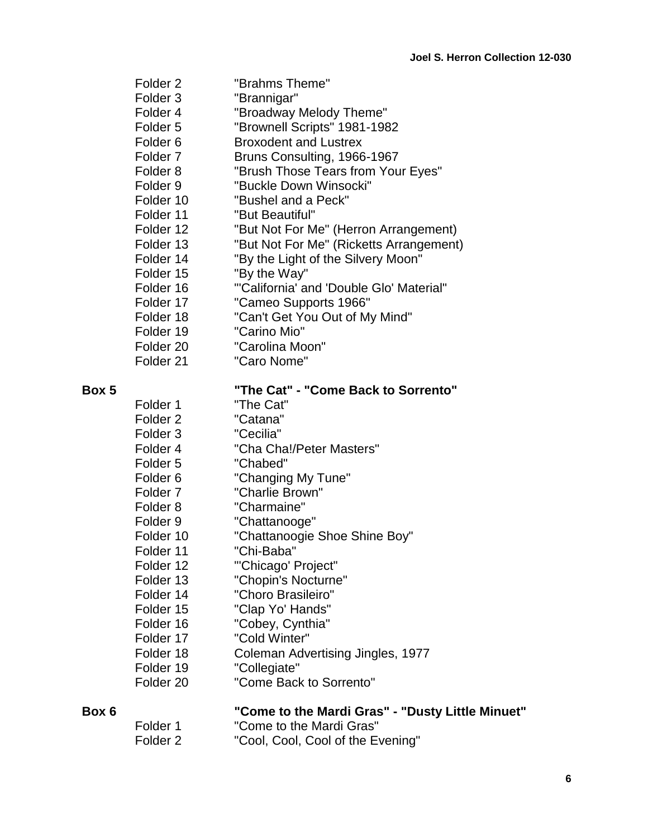| Folder <sub>2</sub>  | "Brahms Theme"                           |
|----------------------|------------------------------------------|
| Folder <sub>3</sub>  | "Brannigar"                              |
| Folder 4             | "Broadway Melody Theme"                  |
| Folder <sub>5</sub>  | "Brownell Scripts" 1981-1982             |
| Folder <sub>6</sub>  | <b>Broxodent and Lustrex</b>             |
| Folder <sub>7</sub>  | Bruns Consulting, 1966-1967              |
| Folder <sub>8</sub>  | "Brush Those Tears from Your Eyes"       |
| Folder <sub>9</sub>  | "Buckle Down Winsocki"                   |
| Folder 10            | "Bushel and a Peck"                      |
| Folder 11            | "But Beautiful"                          |
| Folder 12            | "But Not For Me" (Herron Arrangement)    |
| Folder 13            | "But Not For Me" (Ricketts Arrangement)  |
| Folder 14            | "By the Light of the Silvery Moon"       |
| Folder 15            | "By the Way"                             |
| Folder 16            | "'California' and 'Double Glo' Material" |
| Folder 17            | "Cameo Supports 1966"                    |
| Folder 18            | "Can't Get You Out of My Mind"           |
| Folder 19            | "Carino Mio"                             |
| Folder 20            | "Carolina Moon"                          |
| Folder <sub>21</sub> | "Caro Nome"                              |

# **Box 5 "The Cat" - "Come Back to Sorrento"**

| Folder 1             | "The Cat"                         |
|----------------------|-----------------------------------|
| Folder <sub>2</sub>  | "Catana"                          |
| Folder <sub>3</sub>  | "Cecilia"                         |
| Folder <sub>4</sub>  | "Cha Cha!/Peter Masters"          |
| Folder <sub>5</sub>  | "Chabed"                          |
| Folder <sub>6</sub>  | "Changing My Tune"                |
| Folder <sub>7</sub>  | "Charlie Brown"                   |
| Folder <sub>8</sub>  | "Charmaine"                       |
| Folder <sub>9</sub>  | "Chattanooge"                     |
| Folder 10            | "Chattanoogie Shoe Shine Boy"     |
| Folder 11            | "Chi-Baba"                        |
| Folder 12            | "'Chicago' Project"               |
| Folder 13            | "Chopin's Nocturne"               |
| Folder 14            | "Choro Brasileiro"                |
| Folder 15            | "Clap Yo' Hands"                  |
| Folder 16            | "Cobey, Cynthia"                  |
| Folder 17            | "Cold Winter"                     |
| Folder 18            | Coleman Advertising Jingles, 1977 |
| Folder 19            | "Collegiate"                      |
| Folder <sub>20</sub> | "Come Back to Sorrento"           |

| Box 6 | "Come to the Mardi Gras" - "Dusty Little Minuet" |  |
|-------|--------------------------------------------------|--|
|-------|--------------------------------------------------|--|

Folder 1 "Come to the Mardi Gras"<br>Folder 2 "Cool, Cool, Cool of the Ev

"Cool, Cool, Cool of the Evening"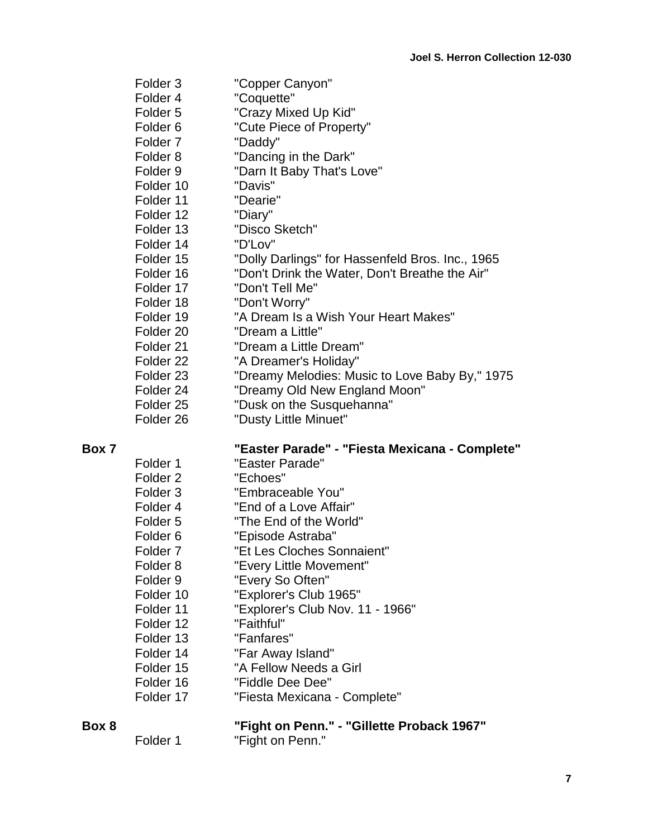| Folder <sub>3</sub>  | "Copper Canyon"                                  |
|----------------------|--------------------------------------------------|
| Folder 4             | "Coquette"                                       |
| Folder <sub>5</sub>  | "Crazy Mixed Up Kid"                             |
| Folder <sub>6</sub>  | "Cute Piece of Property"                         |
| Folder <sub>7</sub>  | "Daddy"                                          |
| Folder 8             | "Dancing in the Dark"                            |
| Folder <sub>9</sub>  | "Darn It Baby That's Love"                       |
| Folder 10            | "Davis"                                          |
| Folder 11            | "Dearie"                                         |
| Folder 12            | "Diary"                                          |
| Folder 13            | "Disco Sketch"                                   |
| Folder 14            | "D'Lov"                                          |
| Folder 15            | "Dolly Darlings" for Hassenfeld Bros. Inc., 1965 |
| Folder 16            | "Don't Drink the Water, Don't Breathe the Air"   |
| Folder 17            | "Don't Tell Me"                                  |
| Folder 18            | "Don't Worry"                                    |
| Folder 19            | "A Dream Is a Wish Your Heart Makes"             |
| Folder 20            | "Dream a Little"                                 |
| Folder <sub>21</sub> | "Dream a Little Dream"                           |
| Folder 22            | "A Dreamer's Holiday"                            |
| Folder 23            | "Dreamy Melodies: Music to Love Baby By," 1975   |
| Folder 24            | "Dreamy Old New England Moon"                    |
| Folder <sub>25</sub> | "Dusk on the Susquehanna"                        |
| Folder <sub>26</sub> | "Dusty Little Minuet"                            |

| Box 7 | "Easter Parade" - "Fiesta Mexicana - Complete" |  |
|-------|------------------------------------------------|--|
|-------|------------------------------------------------|--|

| Folder 1            | "Easter Parade"                  |
|---------------------|----------------------------------|
| Folder <sub>2</sub> | "Echoes"                         |
| Folder <sub>3</sub> | "Embraceable You"                |
| Folder <sub>4</sub> | "End of a Love Affair"           |
| Folder <sub>5</sub> | "The End of the World"           |
| Folder <sub>6</sub> | "Episode Astraba"                |
| Folder <sub>7</sub> | "Et Les Cloches Sonnaient"       |
| Folder <sub>8</sub> | "Every Little Movement"          |
| Folder <sub>9</sub> | "Every So Often"                 |
| Folder 10           | "Explorer's Club 1965"           |
| Folder 11           | "Explorer's Club Nov. 11 - 1966" |
| Folder 12           | "Faithful"                       |
| Folder 13           | "Fanfares"                       |
| Folder 14           | "Far Away Island"                |
| Folder 15           | "A Fellow Needs a Girl           |
| Folder 16           | "Fiddle Dee Dee"                 |
| Folder 17           | "Fiesta Mexicana - Complete"     |
|                     |                                  |

**Box 8 "Fight on Penn." - "Gillette Proback 1967"** Folder 1 **The "Fight on Penn."**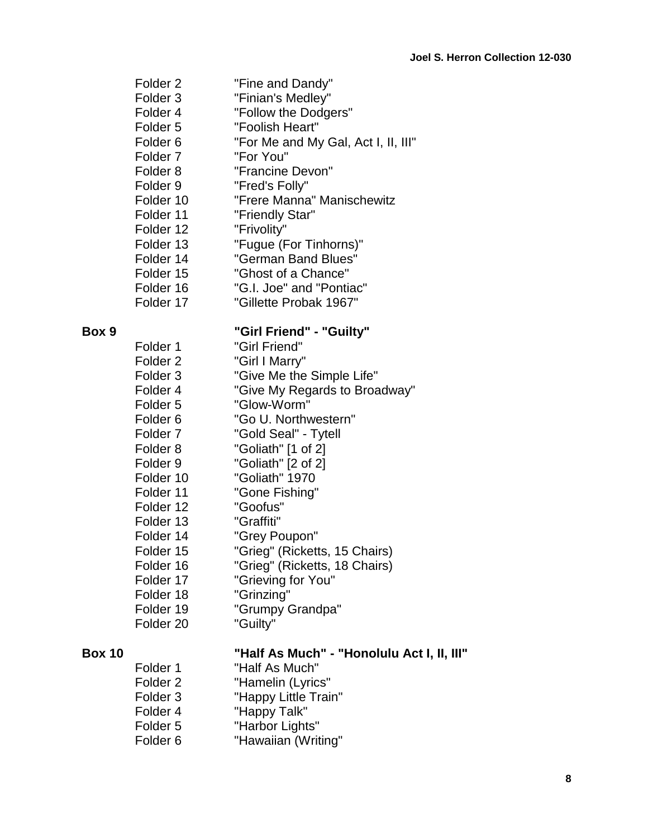|               | Folder <sub>2</sub> | "Fine and Dandy"                           |
|---------------|---------------------|--------------------------------------------|
|               | Folder <sub>3</sub> | "Finian's Medley"                          |
|               | Folder 4            | "Follow the Dodgers"                       |
|               | Folder 5            | "Foolish Heart"                            |
|               | Folder <sub>6</sub> | "For Me and My Gal, Act I, II, III"        |
|               | Folder <sub>7</sub> | "For You"                                  |
|               | Folder 8            | "Francine Devon"                           |
|               | Folder <sub>9</sub> | "Fred's Folly"                             |
|               | Folder 10           | "Frere Manna" Manischewitz                 |
|               | Folder 11           | "Friendly Star"                            |
|               | Folder 12           | "Frivolity"                                |
|               | Folder 13           | "Fugue (For Tinhorns)"                     |
|               | Folder 14           | "German Band Blues"                        |
|               | Folder 15           | "Ghost of a Chance"                        |
|               | Folder 16           | "G.I. Joe" and "Pontiac"                   |
|               | Folder 17           | "Gillette Probak 1967"                     |
| Box 9         |                     | "Girl Friend" - "Guilty"                   |
|               | Folder 1            | "Girl Friend"                              |
|               | Folder <sub>2</sub> | "Girl I Marry"                             |
|               | Folder 3            | "Give Me the Simple Life"                  |
|               | Folder 4            | "Give My Regards to Broadway"              |
|               | Folder 5            | "Glow-Worm"                                |
|               | Folder <sub>6</sub> | "Go U. Northwestern"                       |
|               | Folder <sub>7</sub> | "Gold Seal" - Tytell                       |
|               | Folder <sub>8</sub> | "Goliath" [1 of 2]                         |
|               | Folder <sub>9</sub> | "Goliath" [2 of 2]                         |
|               | Folder 10           | "Goliath" 1970                             |
|               | Folder 11           | "Gone Fishing"                             |
|               | Folder 12           | "Goofus"                                   |
|               | Folder 13           | "Graffiti"                                 |
|               | Folder 14           | "Grey Poupon"                              |
|               | Folder 15           | "Grieg" (Ricketts, 15 Chairs)              |
|               | Folder 16           | "Grieg" (Ricketts, 18 Chairs)              |
|               | Folder 17           | "Grieving for You"                         |
|               | Folder 18           | "Grinzing"                                 |
|               | Folder 19           | "Grumpy Grandpa"                           |
|               | Folder 20           | "Guilty"                                   |
| <b>Box 10</b> |                     | "Half As Much" - "Honolulu Act I, II, III" |
|               | Folder 1            | "Half As Much"                             |

Folder 1 "Half As Much" Folder 2 "Hamelin (Lyrics" Folder 3 "Happy Little Train" Folder 4 "Happy Talk" Folder 5 "Harbor Lights" Folder 6 "Hawaiian (Writing"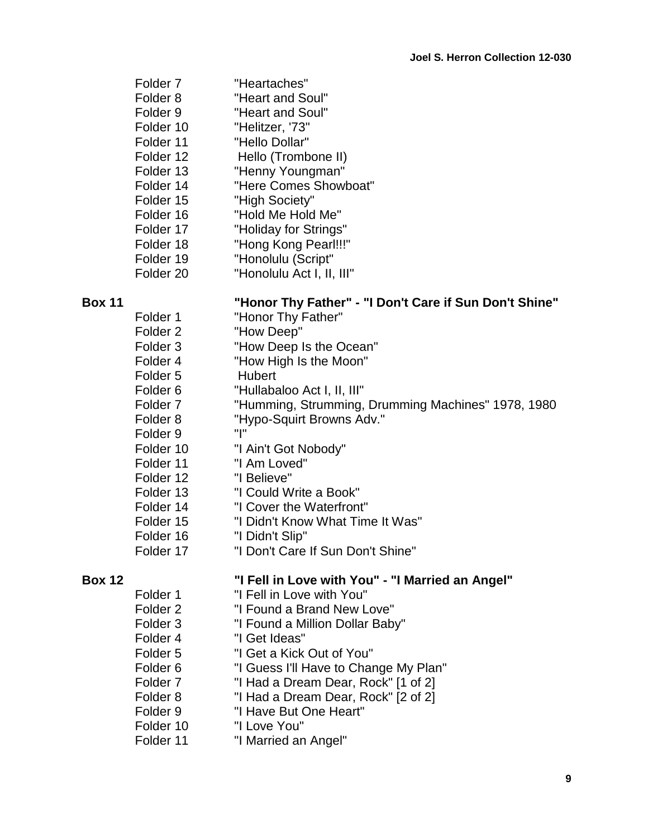| Folder <sub>7</sub>  | "Heartaches"              |
|----------------------|---------------------------|
| Folder <sub>8</sub>  | "Heart and Soul"          |
| Folder <sub>9</sub>  | "Heart and Soul"          |
| Folder 10            | "Helitzer, '73"           |
| Folder 11            | "Hello Dollar"            |
| Folder 12            | Hello (Trombone II)       |
| Folder 13            | "Henny Youngman"          |
| Folder 14            | "Here Comes Showboat"     |
| Folder 15            | "High Society"            |
| Folder 16            | "Hold Me Hold Me"         |
| Folder 17            | "Holiday for Strings"     |
| Folder 18            | "Hong Kong Pearl!!!"      |
| Folder 19            | "Honolulu (Script"        |
| Folder <sub>20</sub> | "Honolulu Act I, II, III" |

| "Honor Thy Father" - "I Don't Care if Sun Don't Shine"<br><b>Box 11</b> |  |
|-------------------------------------------------------------------------|--|
|-------------------------------------------------------------------------|--|

Folder 1 "Honor Thy Father" Folder 2 "How Deep" Folder 3 "How Deep Is the Ocean" Folder 4 "How High Is the Moon" Folder 5 Hubert Folder 6 "Hullabaloo Act I, II, III" Folder 7 "Humming, Strumming, Drumming Machines" 1978, 1980 Folder 8 "Hypo-Squirt Browns Adv." Folder 9 "I" Folder 10 "I Ain't Got Nobody" Folder 11 "I Am Loved" Folder 12 "I Believe" Folder 13 "I Could Write a Book" Folder 14 "I Cover the Waterfront" Folder 15 "I Didn't Know What Time It Was" Folder 16 "I Didn't Slip" Folder 17 "I Don't Care If Sun Don't Shine"

- Folder 1 "I Fell in Love with You"
- Folder 2 "I Found a Brand New Love"
- Folder 3 "I Found a Million Dollar Baby"
- Folder 4 "I Get Ideas"
- Folder 5 "I Get a Kick Out of You"
- Folder 6 "I Guess I'll Have to Change My Plan"
- Folder 7 "I Had a Dream Dear, Rock" [1 of 2]
- Folder 8 "I Had a Dream Dear, Rock" [2 of 2]
- Folder 9 "I Have But One Heart"
- Folder 10 "I Love You"
- Folder 11 "I Married an Angel"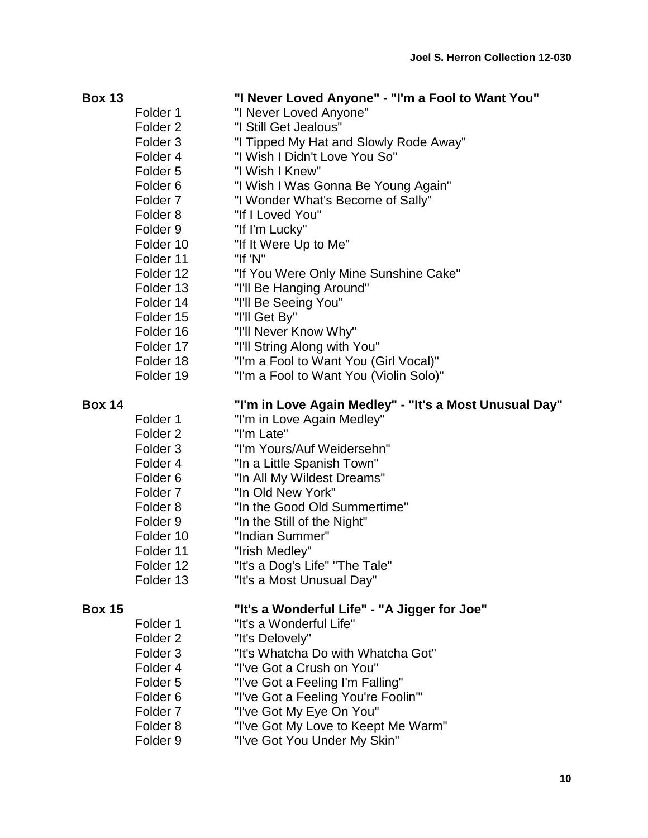| <b>Box 13</b> |                     | "I Never Loved Anyone" - "I'm a Fool to Want You"      |
|---------------|---------------------|--------------------------------------------------------|
|               | Folder 1            | "I Never Loved Anyone"                                 |
|               | Folder <sub>2</sub> | "I Still Get Jealous"                                  |
|               | Folder <sub>3</sub> | "I Tipped My Hat and Slowly Rode Away"                 |
|               | Folder 4            | "I Wish I Didn't Love You So"                          |
|               | Folder <sub>5</sub> | "I Wish I Knew"                                        |
|               | Folder <sub>6</sub> | "I Wish I Was Gonna Be Young Again"                    |
|               | Folder <sub>7</sub> | "I Wonder What's Become of Sally"                      |
|               | Folder <sub>8</sub> | "If I Loved You"                                       |
|               | Folder <sub>9</sub> | "If I'm Lucky"                                         |
|               | Folder 10           | "If It Were Up to Me"                                  |
|               | Folder 11           | "If 'N"                                                |
|               | Folder 12           | "If You Were Only Mine Sunshine Cake"                  |
|               | Folder 13           | "I'll Be Hanging Around"                               |
|               | Folder 14           | "I'll Be Seeing You"                                   |
|               | Folder 15           | "I'll Get By"                                          |
|               | Folder 16           | "I'll Never Know Why"                                  |
|               | Folder 17           | "I'll String Along with You"                           |
|               | Folder 18           | "I'm a Fool to Want You (Girl Vocal)"                  |
|               | Folder 19           | "I'm a Fool to Want You (Violin Solo)"                 |
| <b>Box 14</b> |                     | "I'm in Love Again Medley" - "It's a Most Unusual Day" |
|               | Folder 1            | "I'm in Love Again Medley"                             |
|               | Folder <sub>2</sub> | "I'm Late"                                             |
|               | Folder <sub>3</sub> | "I'm Yours/Auf Weidersehn"                             |
|               | Folder 4            | "In a Little Spanish Town"                             |
|               | Folder <sub>6</sub> | "In All My Wildest Dreams"                             |
|               | Folder <sub>7</sub> | "In Old New York"                                      |
|               | Folder 8            | "In the Good Old Summertime"                           |
|               | Folder <sub>9</sub> | "In the Still of the Night"                            |
|               | Folder 10           | "Indian Summer"                                        |
|               | Folder 11           | "Irish Medley"                                         |
|               | Folder 12           | "It's a Dog's Life" "The Tale"                         |
|               | Folder 13           | "It's a Most Unusual Day"                              |
| <b>Box 15</b> |                     | "It's a Wonderful Life" - "A Jigger for Joe"           |
|               | Folder 1            | "It's a Wonderful Life"                                |
|               | Folder <sub>2</sub> | "It's Delovely"                                        |
|               | Folder <sub>3</sub> | "It's Whatcha Do with Whatcha Got"                     |
|               | Folder <sub>4</sub> | "I've Got a Crush on You"                              |
|               | Folder <sub>5</sub> | "I've Got a Feeling I'm Falling"                       |
|               | Folder <sub>6</sub> | "I've Got a Feeling You're Foolin'"                    |
|               | Folder <sub>7</sub> | "I've Got My Eye On You"                               |
|               | Folder <sub>8</sub> | "I've Got My Love to Keept Me Warm"                    |

Folder 9 "I've Got You Under My Skin"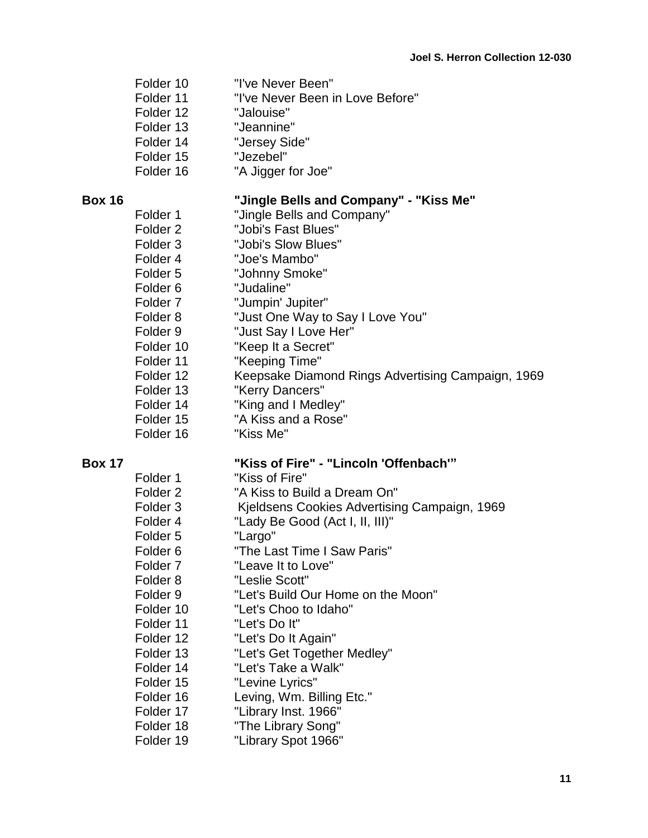|               | Folder 10<br>Folder 11<br>Folder 12<br>Folder 13<br>Folder 14<br>Folder 15<br>Folder 16 | "I've Never Been"<br>"I've Never Been in Love Before"<br>"Jalouise"<br>"Jeannine"<br>"Jersey Side"<br>"Jezebel"<br>"A Jigger for Joe" |
|---------------|-----------------------------------------------------------------------------------------|---------------------------------------------------------------------------------------------------------------------------------------|
| <b>Box 16</b> |                                                                                         | "Jingle Bells and Company" - "Kiss Me"                                                                                                |
|               | Folder 1                                                                                | "Jingle Bells and Company"                                                                                                            |
|               | Folder 2                                                                                | "Jobi's Fast Blues"                                                                                                                   |
|               | Folder 3                                                                                | "Jobi's Slow Blues"                                                                                                                   |
|               | Folder 4                                                                                | "Joe's Mambo"                                                                                                                         |
|               | Folder 5                                                                                | "Johnny Smoke"                                                                                                                        |
|               | Folder 6                                                                                | "Judaline"                                                                                                                            |
|               | Folder 7                                                                                | "Jumpin' Jupiter"                                                                                                                     |
|               | Folder 8                                                                                | "Just One Way to Say I Love You"                                                                                                      |
|               | Folder 9                                                                                | "Just Say I Love Her"                                                                                                                 |
|               | Folder 10                                                                               | "Keep It a Secret"                                                                                                                    |
|               | Folder 11                                                                               | "Keeping Time"                                                                                                                        |
|               | Folder 12                                                                               | Keepsake Diamond Rings Advertising Campaign, 1969                                                                                     |
|               | Folder 13                                                                               | "Kerry Dancers"                                                                                                                       |
|               | Folder 14                                                                               | "King and I Medley"                                                                                                                   |
|               | Folder 15                                                                               | "A Kiss and a Rose"                                                                                                                   |
|               | Folder 16                                                                               | "Kiss Me"                                                                                                                             |
| <b>Box 17</b> |                                                                                         | "Kiss of Fire" - "Lincoln 'Offenbach'"                                                                                                |

# **Box 17**

| Folder 1            | "Kiss of Fire"                               |
|---------------------|----------------------------------------------|
| Folder <sub>2</sub> | "A Kiss to Build a Dream On"                 |
| Folder <sub>3</sub> | Kjeldsens Cookies Advertising Campaign, 1969 |
| Folder <sub>4</sub> | "Lady Be Good (Act I, II, III)"              |
| Folder <sub>5</sub> | "Largo"                                      |
| Folder <sub>6</sub> | "The Last Time I Saw Paris"                  |
| Folder <sub>7</sub> | "Leave It to Love"                           |
| Folder <sub>8</sub> | "Leslie Scott"                               |
| Folder <sub>9</sub> | "Let's Build Our Home on the Moon"           |
| Folder 10           | "Let's Choo to Idaho"                        |
| Folder 11           | "Let's Do It"                                |
| Folder 12           | "Let's Do It Again"                          |
| Folder 13           | "Let's Get Together Medley"                  |
| Folder 14           | "Let's Take a Walk"                          |
| Folder 15           | "Levine Lyrics"                              |
| Folder 16           | Leving, Wm. Billing Etc."                    |
| Folder 17           | "Library Inst. 1966"                         |
| Folder 18           | "The Library Song"                           |
| Folder 19           | "Library Spot 1966"                          |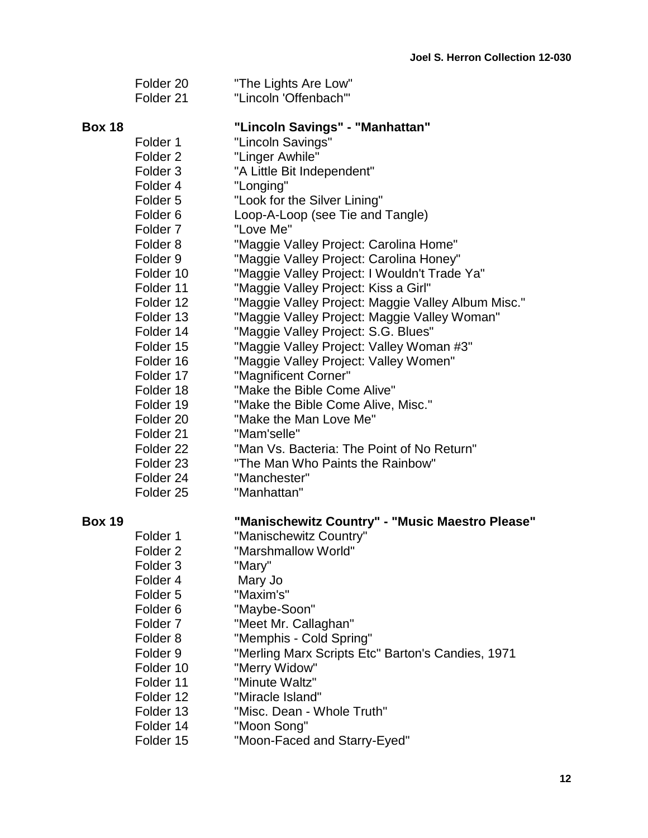|               | Folder <sub>20</sub><br>Folder 21                                                                                                                                                                                                                                                                                                                                                                                                      | "The Lights Are Low"<br>"Lincoln 'Offenbach'"                                                                                                                                                                                                                                                                                                                                                                                                                                                                                                                                                                                                                                                                                                                                                                                                                             |
|---------------|----------------------------------------------------------------------------------------------------------------------------------------------------------------------------------------------------------------------------------------------------------------------------------------------------------------------------------------------------------------------------------------------------------------------------------------|---------------------------------------------------------------------------------------------------------------------------------------------------------------------------------------------------------------------------------------------------------------------------------------------------------------------------------------------------------------------------------------------------------------------------------------------------------------------------------------------------------------------------------------------------------------------------------------------------------------------------------------------------------------------------------------------------------------------------------------------------------------------------------------------------------------------------------------------------------------------------|
| <b>Box 18</b> | Folder 1<br>Folder <sub>2</sub><br>Folder <sub>3</sub><br>Folder 4<br>Folder <sub>5</sub><br>Folder <sub>6</sub><br>Folder <sub>7</sub><br>Folder <sub>8</sub><br>Folder 9<br>Folder 10<br>Folder 11<br>Folder 12<br>Folder 13<br>Folder 14<br>Folder 15<br>Folder 16<br>Folder 17<br>Folder 18<br>Folder 19<br>Folder 20<br>Folder 21<br>Folder <sub>22</sub><br>Folder <sub>23</sub><br>Folder <sub>24</sub><br>Folder <sub>25</sub> | "Lincoln Savings" - "Manhattan"<br>"Lincoln Savings"<br>"Linger Awhile"<br>"A Little Bit Independent"<br>"Longing"<br>"Look for the Silver Lining"<br>Loop-A-Loop (see Tie and Tangle)<br>"Love Me"<br>"Maggie Valley Project: Carolina Home"<br>"Maggie Valley Project: Carolina Honey"<br>"Maggie Valley Project: I Wouldn't Trade Ya"<br>"Maggie Valley Project: Kiss a Girl"<br>"Maggie Valley Project: Maggie Valley Album Misc."<br>"Maggie Valley Project: Maggie Valley Woman"<br>"Maggie Valley Project: S.G. Blues"<br>"Maggie Valley Project: Valley Woman #3"<br>"Maggie Valley Project: Valley Women"<br>"Magnificent Corner"<br>"Make the Bible Come Alive"<br>"Make the Bible Come Alive, Misc."<br>"Make the Man Love Me"<br>"Mam'selle"<br>"Man Vs. Bacteria: The Point of No Return"<br>"The Man Who Paints the Rainbow"<br>"Manchester"<br>"Manhattan" |
| <b>Box 19</b> | Folder <sub>1</sub><br>Folder <sub>2</sub><br>Folder <sub>3</sub><br>Folder 4<br>Folder <sub>5</sub><br>Folder <sub>6</sub><br>Folder <sub>7</sub><br>Folder <sub>8</sub><br>Folder <sub>9</sub><br>Folder 10<br>Folder 11<br>Folder 12<br>Folder 13<br>Folder 14<br>Folder 15                                                                                                                                                         | "Manischewitz Country" - "Music Maestro Please"<br>"Manischewitz Country"<br>"Marshmallow World"<br>"Mary"<br>Mary Jo<br>"Maxim's"<br>"Maybe-Soon"<br>"Meet Mr. Callaghan"<br>"Memphis - Cold Spring"<br>"Merling Marx Scripts Etc" Barton's Candies, 1971<br>"Merry Widow"<br>"Minute Waltz"<br>"Miracle Island"<br>"Misc. Dean - Whole Truth"<br>"Moon Song"<br>"Moon-Faced and Starry-Eyed"                                                                                                                                                                                                                                                                                                                                                                                                                                                                            |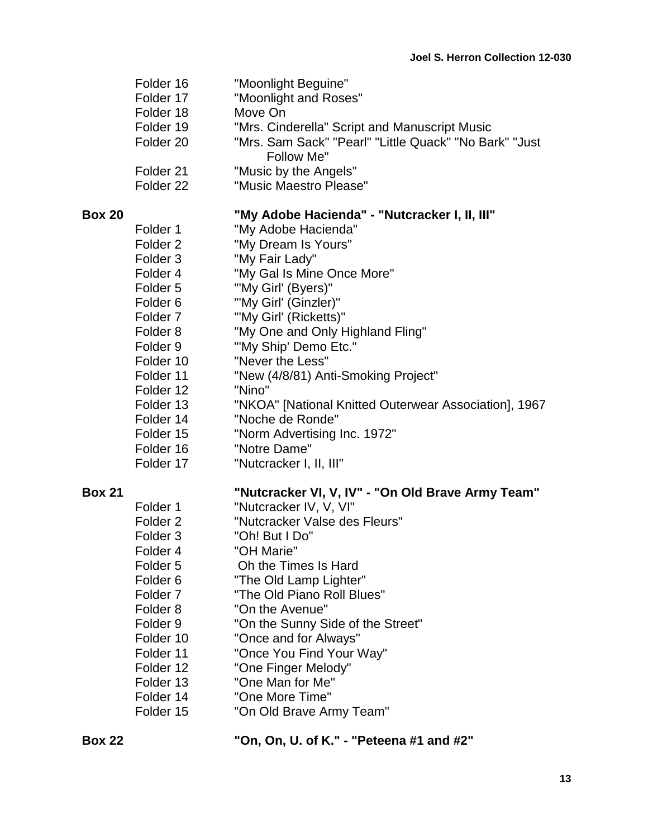| Folder 16            | "Moonlight Beguine"                                                  |
|----------------------|----------------------------------------------------------------------|
| Folder 17            | "Moonlight and Roses"                                                |
| Folder 18            | Move On                                                              |
| Folder 19            | "Mrs. Cinderella" Script and Manuscript Music                        |
| Folder <sub>20</sub> | "Mrs. Sam Sack" "Pearl" "Little Quack" "No Bark" "Just<br>Follow Me" |
| Folder 21            | "Music by the Angels"                                                |
| Folder <sub>22</sub> | "Music Maestro Please"                                               |
|                      |                                                                      |

### **Box 20 "My Adobe Hacienda" - "Nutcracker I, II, III"**

| Folder 1            | "My Adobe Hacienda"                                   |
|---------------------|-------------------------------------------------------|
| Folder <sub>2</sub> | "My Dream Is Yours"                                   |
| Folder 3            | "My Fair Lady"                                        |
| Folder 4            | "My Gal Is Mine Once More"                            |
| Folder 5            | "'My Girl' (Byers)"                                   |
| Folder <sub>6</sub> | "'My Girl' (Ginzler)"                                 |
| Folder <sub>7</sub> | "'My Girl' (Ricketts)"                                |
| Folder 8            | "My One and Only Highland Fling"                      |
| Folder 9            | "'My Ship' Demo Etc."                                 |
| Folder 10           | "Never the Less"                                      |
| Folder 11           | "New (4/8/81) Anti-Smoking Project"                   |
| Folder 12           | "Nino"                                                |
| Folder 13           | "NKOA" [National Knitted Outerwear Association], 1967 |
| Folder 14           | "Noche de Ronde"                                      |
| Folder 15           | "Norm Advertising Inc. 1972"                          |
| Folder 16           | "Notre Dame"                                          |
| Folder 17           | "Nutcracker I, II, III"                               |

# **Box 21 "Nutcracker VI, V, IV" - "On Old Brave Army Team"**

| "Nutcracker IV, V, VI"            |
|-----------------------------------|
| "Nutcracker Valse des Fleurs"     |
| "Oh! But I Do"                    |
| "OH Marie"                        |
| Oh the Times Is Hard              |
| "The Old Lamp Lighter"            |
| "The Old Piano Roll Blues"        |
| "On the Avenue"                   |
| "On the Sunny Side of the Street" |
| "Once and for Always"             |
| "Once You Find Your Way"          |
| "One Finger Melody"               |
| "One Man for Me"                  |
| "One More Time"                   |
| "On Old Brave Army Team"          |
|                                   |

**Box 22 "On, On, U. of K." - "Peteena #1 and #2"**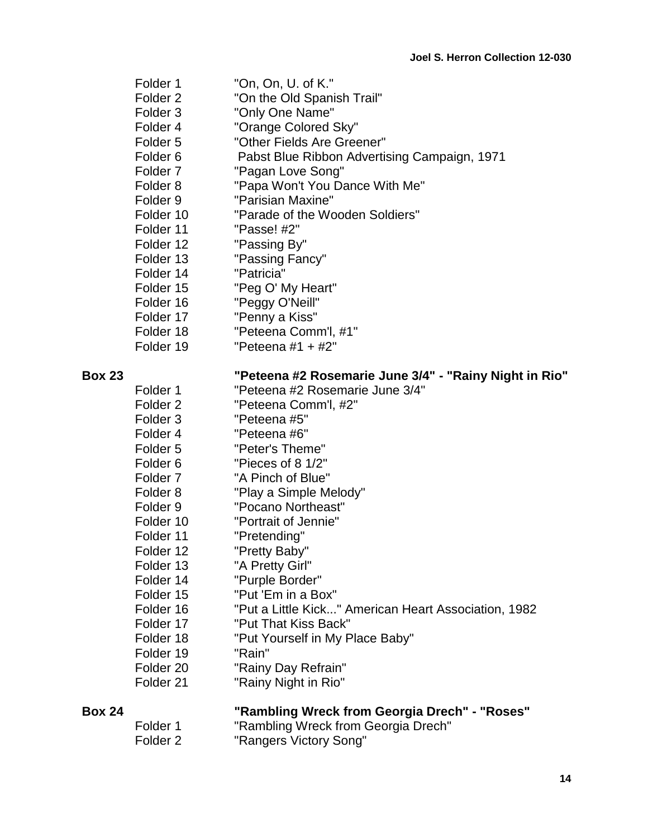| Folder 1            | "On, On, U. of K."                           |
|---------------------|----------------------------------------------|
| Folder <sub>2</sub> | "On the Old Spanish Trail"                   |
| Folder <sub>3</sub> | "Only One Name"                              |
| Folder 4            | "Orange Colored Sky"                         |
| Folder <sub>5</sub> | "Other Fields Are Greener"                   |
| Folder <sub>6</sub> | Pabst Blue Ribbon Advertising Campaign, 1971 |
| Folder <sub>7</sub> | "Pagan Love Song"                            |
| Folder <sub>8</sub> | "Papa Won't You Dance With Me"               |
| Folder <sub>9</sub> | "Parisian Maxine"                            |
| Folder 10           | "Parade of the Wooden Soldiers"              |
| Folder 11           | "Passe! #2"                                  |
| Folder 12           | "Passing By"                                 |
| Folder 13           | "Passing Fancy"                              |
| Folder 14           | "Patricia"                                   |
| Folder 15           | "Peg O' My Heart"                            |
| Folder 16           | "Peggy O'Neill"                              |
| Folder 17           | "Penny a Kiss"                               |
| Folder 18           | "Peteena Comm'l, #1"                         |
| Folder 19           | "Peteena #1 + #2"                            |

# **Box 23 "Peteena #2 Rosemarie June 3/4" - "Rainy Night in Rio"**

| Folder 1  | "Peteena #2 Rosemarie June 3/4"                      |
|-----------|------------------------------------------------------|
| Folder 2  | "Peteena Comm'l, #2"                                 |
| Folder 3  | "Peteena #5"                                         |
| Folder 4  | "Peteena #6"                                         |
| Folder 5  | "Peter's Theme"                                      |
| Folder 6  | "Pieces of 8 1/2"                                    |
| Folder 7  | "A Pinch of Blue"                                    |
| Folder 8  | "Play a Simple Melody"                               |
| Folder 9  | "Pocano Northeast"                                   |
| Folder 10 | "Portrait of Jennie"                                 |
| Folder 11 | "Pretending"                                         |
| Folder 12 | "Pretty Baby"                                        |
| Folder 13 | "A Pretty Girl"                                      |
| Folder 14 | "Purple Border"                                      |
| Folder 15 | "Put 'Em in a Box"                                   |
| Folder 16 | "Put a Little Kick" American Heart Association, 1982 |
| Folder 17 | "Put That Kiss Back"                                 |
| Folder 18 | "Put Yourself in My Place Baby"                      |
| Folder 19 | "Rain"                                               |
| Folder 20 | "Rainy Day Refrain"                                  |
| Folder 21 | "Rainy Night in Rio"                                 |

| <b>Box 24</b> |          | "Rambling Wreck from Georgia Drech" - "Roses" |
|---------------|----------|-----------------------------------------------|
|               | Folder 1 | "Rambling Wreck from Georgia Drech"           |
|               | Folder 2 | "Rangers Victory Song"                        |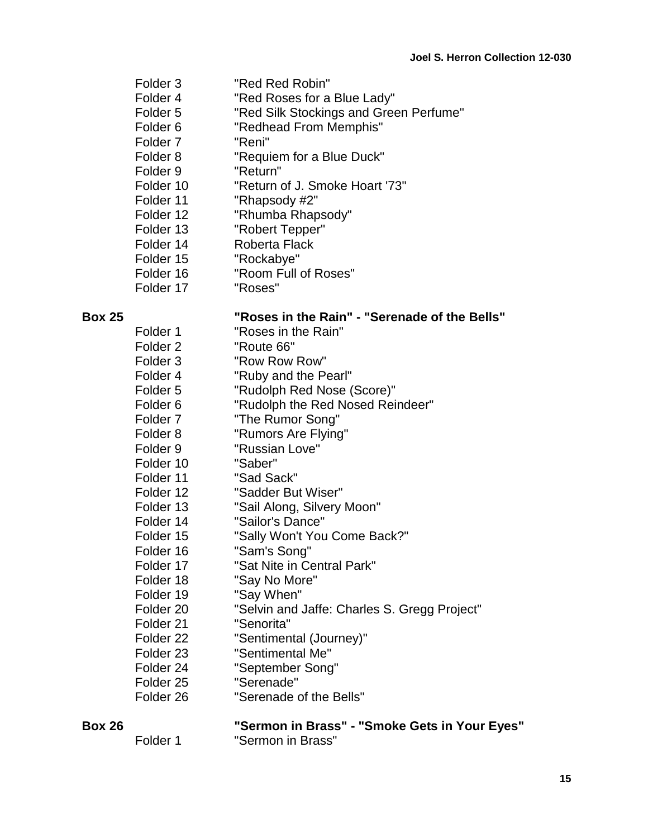- Folder 3 "Red Red Robin"
- Folder 4 "Red Roses for a Blue Lady"
- Folder 5 "Red Silk Stockings and Green Perfume"
- Folder 6 "Redhead From Memphis"
- Folder 7 "Reni"
- Folder 8 "Requiem for a Blue Duck"
- Folder 9 "Return"
- Folder 10 "Return of J. Smoke Hoart '73"
- Folder 11 "Rhapsody #2"
- Folder 12 "Rhumba Rhapsody"
- Folder 13 "Robert Tepper"
- Folder 14 Roberta Flack
- Folder 15 "Rockabye"
- Folder 16 "Room Full of Roses"
- Folder 17 "Roses"

### **Box 25 "Roses in the Rain" - "Serenade of the Bells"**

Folder 1 "Roses in the Rain" Folder 2 "Route 66" Folder 3 "Row Row Row" Folder 4 "Ruby and the Pearl" Folder 5 "Rudolph Red Nose (Score)" Folder 6 "Rudolph the Red Nosed Reindeer" Folder 7 "The Rumor Song" Folder 8 "Rumors Are Flying" Folder 9 "Russian Love" Folder 10 "Saber" Folder 11 "Sad Sack" Folder 12 "Sadder But Wiser" Folder 13 "Sail Along, Silvery Moon" Folder 14 "Sailor's Dance" Folder 15 "Sally Won't You Come Back?" Folder 16 "Sam's Song" Folder 17 "Sat Nite in Central Park" Folder 18 "Say No More" Folder 19 "Say When" Folder 20 "Selvin and Jaffe: Charles S. Gregg Project" Folder 21 "Senorita" Folder 22 "Sentimental (Journey)" Folder 23 "Sentimental Me" Folder 24 "September Song" Folder 25 "Serenade" Folder 26 "Serenade of the Bells"

**Box 26 "Sermon in Brass" - "Smoke Gets in Your Eyes"** Folder 1 "Sermon in Brass"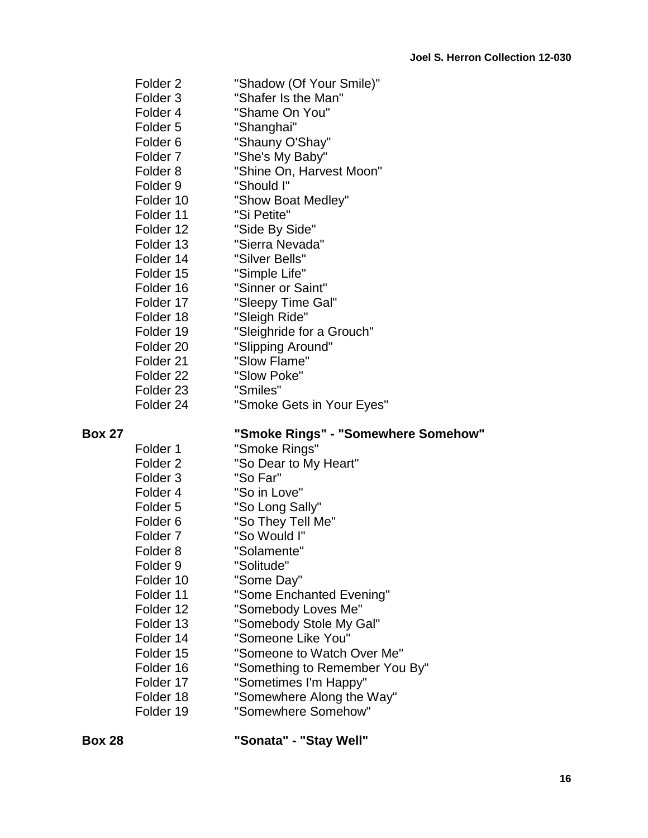|               | Folder <sub>2</sub><br>Folder <sub>3</sub><br>Folder 4<br>Folder <sub>5</sub><br>Folder <sub>6</sub><br>Folder <sub>7</sub><br>Folder <sub>8</sub><br>Folder <sub>9</sub><br>Folder 10<br>Folder 11<br>Folder 12<br>Folder 13<br>Folder 14<br>Folder 15<br>Folder 16 | "Shadow (Of Your Smile)"<br>"Shafer Is the Man"<br>"Shame On You"<br>"Shanghai"<br>"Shauny O'Shay"<br>"She's My Baby"<br>"Shine On, Harvest Moon"<br>"Should I"<br>"Show Boat Medley"<br>"Si Petite"<br>"Side By Side"<br>"Sierra Nevada"<br>"Silver Bells"<br>"Simple Life"<br>"Sinner or Saint" |
|---------------|----------------------------------------------------------------------------------------------------------------------------------------------------------------------------------------------------------------------------------------------------------------------|---------------------------------------------------------------------------------------------------------------------------------------------------------------------------------------------------------------------------------------------------------------------------------------------------|
|               | Folder 18<br>Folder 19                                                                                                                                                                                                                                               | "Sleigh Ride"<br>"Sleighride for a Grouch"                                                                                                                                                                                                                                                        |
|               | Folder 20<br>Folder 21                                                                                                                                                                                                                                               | "Slipping Around"<br>"Slow Flame"                                                                                                                                                                                                                                                                 |
|               | Folder <sub>22</sub><br>Folder 23                                                                                                                                                                                                                                    | "Slow Poke"<br>"Smiles"                                                                                                                                                                                                                                                                           |
| <b>Box 27</b> | Folder <sub>24</sub><br>Folder 1                                                                                                                                                                                                                                     | "Smoke Gets in Your Eyes"<br>"Smoke Rings" - "Somewhere Somehow"<br>"Smoke Rings"                                                                                                                                                                                                                 |

| Folder 1            | "Smoke Rings"                  |
|---------------------|--------------------------------|
| Folder <sub>2</sub> | "So Dear to My Heart"          |
| Folder 3            | "So Far"                       |
| Folder 4            | "So in Love"                   |
| Folder 5            | "So Long Sally"                |
| Folder 6            | "So They Tell Me"              |
| Folder <sub>7</sub> | "So Would I"                   |
| Folder 8            | "Solamente"                    |
| Folder 9            | "Solitude"                     |
| Folder 10           | "Some Day"                     |
| Folder 11           | "Some Enchanted Evening"       |
| Folder 12           | "Somebody Loves Me"            |
| Folder 13           | "Somebody Stole My Gal"        |
| Folder 14           | "Someone Like You"             |
| Folder 15           | "Someone to Watch Over Me"     |
| Folder 16           | "Something to Remember You By" |
| Folder 17           | "Sometimes I'm Happy"          |
| Folder 18           | "Somewhere Along the Way"      |
| Folder 19           | "Somewhere Somehow"            |
|                     |                                |

**Box 28 "Sonata" - "Stay Well"**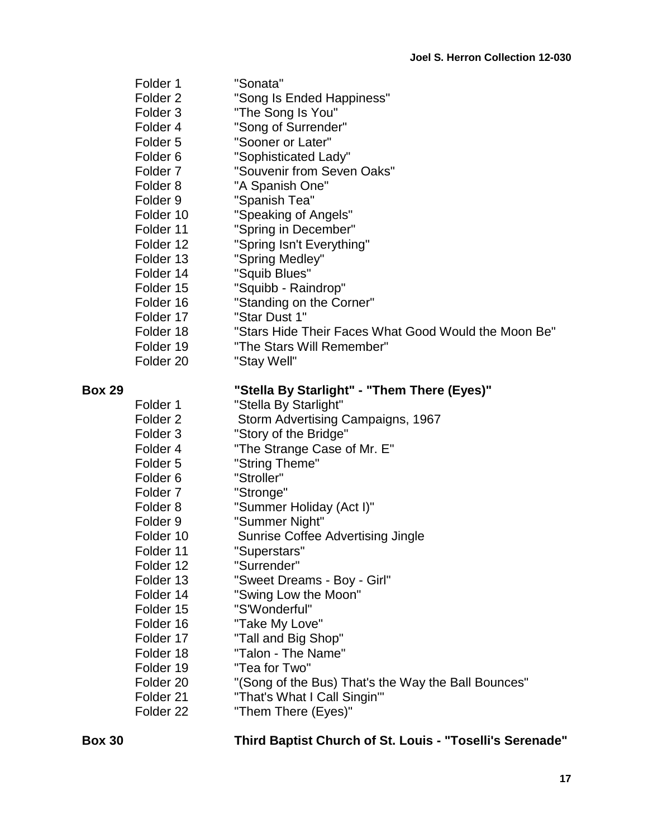|               | Folder 1             | "Sonata"                                             |
|---------------|----------------------|------------------------------------------------------|
|               | Folder <sub>2</sub>  | "Song Is Ended Happiness"                            |
|               | Folder <sub>3</sub>  | "The Song Is You"                                    |
|               | Folder 4             | "Song of Surrender"                                  |
|               | Folder <sub>5</sub>  | "Sooner or Later"                                    |
|               | Folder <sub>6</sub>  | "Sophisticated Lady"                                 |
|               | Folder <sub>7</sub>  | "Souvenir from Seven Oaks"                           |
|               | Folder <sub>8</sub>  | "A Spanish One"                                      |
|               | Folder <sub>9</sub>  | "Spanish Tea"                                        |
|               | Folder 10            | "Speaking of Angels"                                 |
|               | Folder 11            | "Spring in December"                                 |
|               | Folder 12            | "Spring Isn't Everything"                            |
|               | Folder 13            | "Spring Medley"                                      |
|               | Folder 14            | "Squib Blues"                                        |
|               | Folder 15            | "Squibb - Raindrop"                                  |
|               | Folder 16            | "Standing on the Corner"                             |
|               | Folder 17            | "Star Dust 1"                                        |
|               | Folder 18            | "Stars Hide Their Faces What Good Would the Moon Be" |
|               | Folder 19            | "The Stars Will Remember"                            |
|               | Folder <sub>20</sub> | "Stay Well"                                          |
|               |                      |                                                      |
| <b>Box 29</b> |                      | "Stella By Starlight" - "Them There (Eyes)"          |
|               | Folder 1             | "Stella By Starlight"                                |
|               | Folder <sub>2</sub>  | Storm Advertising Campaigns, 1967                    |
|               | Folder <sub>3</sub>  | "Story of the Bridge"                                |
|               | Folder 4             | "The Strange Case of Mr. E"                          |
|               | Folder <sub>5</sub>  | "String Theme"                                       |
|               | Folder <sub>6</sub>  | "Stroller"                                           |
|               | Folder <sub>7</sub>  | "Stronge"                                            |
|               | Folder <sub>8</sub>  | "Summer Holiday (Act I)"                             |
|               | Folder <sub>9</sub>  | "Summer Night"                                       |
|               | Folder 10            | <b>Sunrise Coffee Advertising Jingle</b>             |
|               | Folder 11            | "Superstars"                                         |
|               | Folder 12            | "Surrender"                                          |
|               | Folder 13            | "Sweet Dreams - Boy - Girl"                          |
|               | Folder 14            | "Swing Low the Moon"                                 |
|               | Folder 15            | "S'Wonderful"                                        |
|               | Folder 16            | "Take My Love"                                       |
|               | Folder 17            | "Tall and Big Shop"                                  |
|               | Folder 18            | "Talon - The Name"                                   |
|               | Folder 19            | "Tea for Two"                                        |
|               | Folder <sub>20</sub> | "(Song of the Bus) That's the Way the Ball Bounces"  |
|               | Folder 21            | "That's What I Call Singin'"                         |
|               | Folder <sub>22</sub> | "Them There (Eyes)"                                  |

# **Box 30 Third Baptist Church of St. Louis - "Toselli's Serenade"**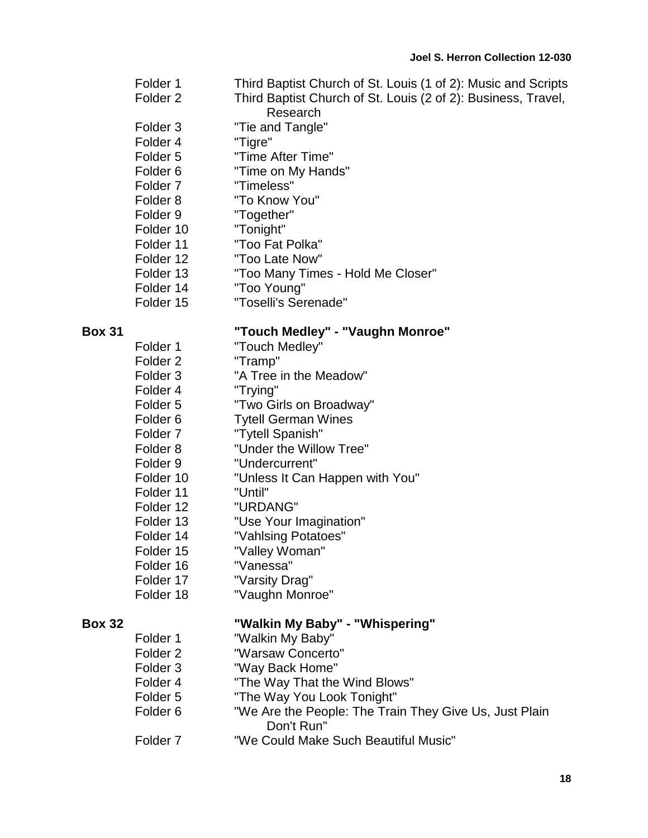- Folder 1 Third Baptist Church of St. Louis (1 of 2): Music and Scripts Folder 2 Third Baptist Church of St. Louis (2 of 2): Business, Travel,
	- Research
- Folder 3 "Tie and Tangle"
- Folder 4 "Tigre"
- Folder 5 "Time After Time"
- Folder 6 "Time on My Hands"
- Folder 7 "Timeless"
- Folder 8 "To Know You"
- Folder 9 "Together"
- Folder 10 "Tonight"
- Folder 11 "Too Fat Polka"
- Folder 12 "Too Late Now"
- Folder 13 "Too Many Times Hold Me Closer"
- Folder 14 "Too Young"
- Folder 15 "Toselli's Serenade"

### **Box 31 "Touch Medley" - "Vaughn Monroe"**

Folder 1 "Touch Medley" Folder 2 "Tramp" Folder 3 "A Tree in the Meadow" Folder 4 "Trying" Folder 5 "Two Girls on Broadway" Folder 6 Tytell German Wines Folder 7 "Tytell Spanish" Folder 8 "Under the Willow Tree" Folder 9 "Undercurrent" Folder 10 "Unless It Can Happen with You" Folder 11 "Until" Folder 12 "URDANG" Folder 13 "Use Your Imagination" Folder 14 "Vahlsing Potatoes" Folder 15 "Valley Woman" Folder 16 "Vanessa" Folder 17 "Varsity Drag" Folder 18 "Vaughn Monroe"

### **Box 32 "Walkin My Baby" - "Whispering"**

Folder 1 "Walkin My Baby" Folder 2 "Warsaw Concerto" Folder 3 "Way Back Home" Folder 4 "The Way That the Wind Blows" Folder 5 "The Way You Look Tonight" Folder 6 "We Are the People: The Train They Give Us, Just Plain Don't Run" Folder 7 "We Could Make Such Beautiful Music"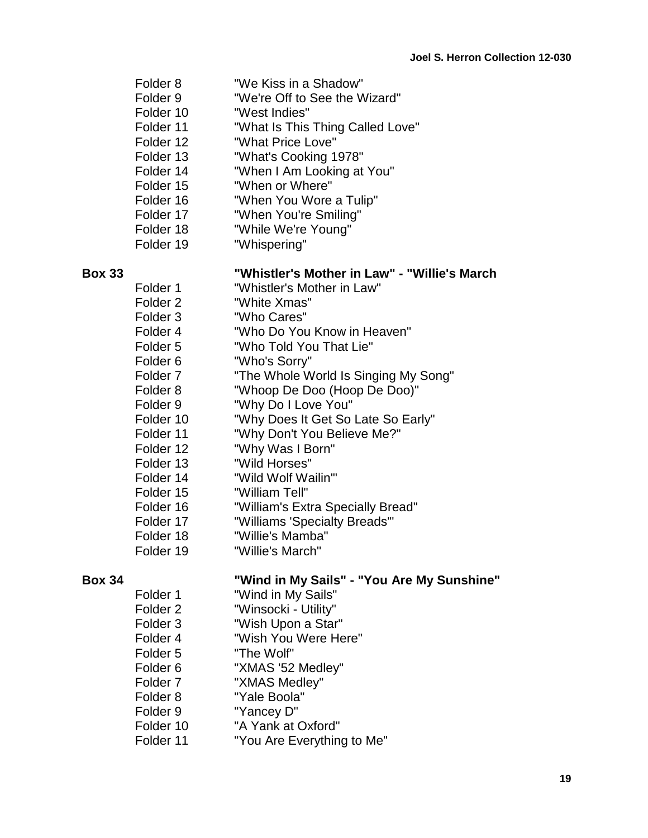Folder 8 "We Kiss in a Shadow" Folder 9 "We're Off to See the Wizard" Folder 10 "West Indies" Folder 11 "What Is This Thing Called Love" Folder 12 "What Price Love" Folder 13 "What's Cooking 1978" Folder 14 "When I Am Looking at You" Folder 15 "When or Where" Folder 16 "When You Wore a Tulip" Folder 17 **When You're Smiling"** Folder 18 "While We're Young" Folder 19 "Whispering"

- **Box 33 "Whistler's Mother in Law" - "Willie's March** Folder 1 "Whistler's Mother in Law" Folder 2 "White Xmas" Folder 3 "Who Cares" Folder 4 "Who Do You Know in Heaven" Folder 5 "Who Told You That Lie" Folder 6 "Who's Sorry" Folder 7 "The Whole World Is Singing My Song" Folder 8 "Whoop De Doo (Hoop De Doo)" Folder 9 "Why Do I Love You" Folder 10 "Why Does It Get So Late So Early" Folder 11 "Why Don't You Believe Me?" Folder 12 "Why Was I Born" Folder 13 "Wild Horses" Folder 14 "Wild Wolf Wailin'" Folder 15 "William Tell"
	- Folder 16 "William's Extra Specially Bread"
	- Folder 17 "Williams 'Specialty Breads'"
	- Folder 18 "Willie's Mamba"
	- Folder 19 "Willie's March"

### **Box 34 "Wind in My Sails" - "You Are My Sunshine"**

- Folder 1 "Wind in My Sails"
- Folder 2 "Winsocki Utility"
- Folder 3 "Wish Upon a Star"
- Folder 4 "Wish You Were Here"
- Folder 5 "The Wolf"
- Folder 6 "XMAS '52 Medley"
- Folder 7 "XMAS Medley"
- Folder 8 "Yale Boola"
- Folder 9 "Yancey D"
	-
- Folder 10 "A Yank at Oxford"
- Folder 11 "You Are Everything to Me"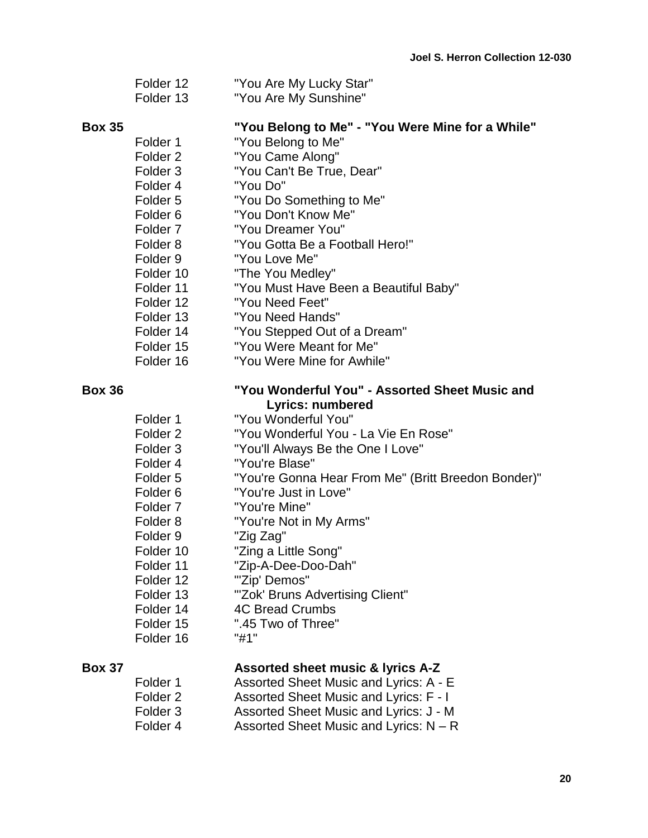| Folder 12 | "You Are My Lucky Star"    |
|-----------|----------------------------|
| Eoldor 10 | $N/2$ u Ara Mu $C$ unghing |

Folder 13 "You Are My Sunshine"

### **Box 35 "You Belong to Me" - "You Were Mine for a While"**

- Folder 1 "You Belong to Me"
- Folder 2 "You Came Along"
- Folder 3 "You Can't Be True, Dear"
- Folder 4 "You Do"
- Folder 5 "You Do Something to Me"
- Folder 6 "You Don't Know Me"
- Folder 7 "You Dreamer You"
- Folder 8 "You Gotta Be a Football Hero!"
- Folder 9 "You Love Me"
- Folder 10 "The You Medley"
- Folder 11 "You Must Have Been a Beautiful Baby"
- Folder 12 "You Need Feet"
- Folder 13 "You Need Hands"
- Folder 14 "You Stepped Out of a Dream"
- Folder 15 "You Were Meant for Me"
- Folder 16 "You Were Mine for Awhile"

### **Box 36 "You Wonderful You" - Assorted Sheet Music and Lyrics: numbered**

| Folder 1            | "You Wonderful You"                                 |
|---------------------|-----------------------------------------------------|
| Folder 2            | "You Wonderful You - La Vie En Rose"                |
| Folder 3            | "You'll Always Be the One I Love"                   |
| Folder 4            | "You're Blase"                                      |
| Folder 5            | "You're Gonna Hear From Me" (Britt Breedon Bonder)" |
| Folder 6            | "You're Just in Love"                               |
| Folder <sub>7</sub> | "You're Mine"                                       |
| Folder 8            | "You're Not in My Arms"                             |
| Folder 9            | "Zig Zag"                                           |
| Folder 10           | "Zing a Little Song"                                |
| Folder 11           | "Zip-A-Dee-Doo-Dah"                                 |
| Folder 12           | "'Zip' Demos"                                       |
| Folder 13           | "Zok' Bruns Advertising Client"                     |
| Folder 14           | <b>4C Bread Crumbs</b>                              |
| Folder 15           | ".45 Two of Three"                                  |
| Folder 16           | "#1"                                                |
|                     |                                                     |

### **Box 37 Assorted sheet music & lyrics A-Z**

Folder 1 Assorted Sheet Music and Lyrics: A - E Folder 2 Assorted Sheet Music and Lyrics: F - I Folder 3 Assorted Sheet Music and Lyrics: J - M Folder 4 Assorted Sheet Music and Lyrics: N – R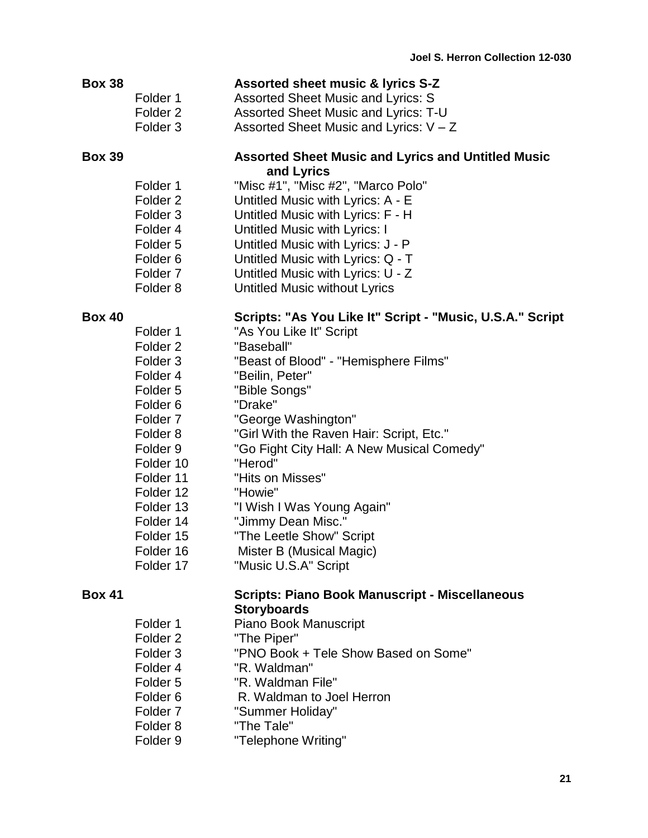| <b>Box 38</b> |                     | <b>Assorted sheet music &amp; lyrics S-Z</b>              |
|---------------|---------------------|-----------------------------------------------------------|
|               | Folder 1            | Assorted Sheet Music and Lyrics: S                        |
|               | Folder <sub>2</sub> | Assorted Sheet Music and Lyrics: T-U                      |
|               | Folder <sub>3</sub> | Assorted Sheet Music and Lyrics: $V - Z$                  |
| <b>Box 39</b> |                     | <b>Assorted Sheet Music and Lyrics and Untitled Music</b> |
|               |                     | and Lyrics                                                |
|               | Folder 1            | "Misc #1", "Misc #2", "Marco Polo"                        |
|               | Folder <sub>2</sub> | Untitled Music with Lyrics: A - E                         |
|               | Folder <sub>3</sub> | Untitled Music with Lyrics: F - H                         |
|               | Folder 4            | Untitled Music with Lyrics: I                             |
|               | Folder <sub>5</sub> | Untitled Music with Lyrics: J - P                         |
|               | Folder <sub>6</sub> | Untitled Music with Lyrics: Q - T                         |
|               | Folder <sub>7</sub> | Untitled Music with Lyrics: U - Z                         |
|               | Folder <sub>8</sub> | Untitled Music without Lyrics                             |
| <b>Box 40</b> |                     | Scripts: "As You Like It" Script - "Music, U.S.A." Script |
|               | Folder 1            | "As You Like It" Script                                   |
|               | Folder <sub>2</sub> | "Baseball"                                                |
|               | Folder <sub>3</sub> | "Beast of Blood" - "Hemisphere Films"                     |
|               | Folder 4            | "Beilin, Peter"                                           |
|               | Folder 5            | "Bible Songs"                                             |
|               | Folder <sub>6</sub> | "Drake"                                                   |
|               | Folder <sub>7</sub> | "George Washington"                                       |
|               | Folder <sub>8</sub> | "Girl With the Raven Hair: Script, Etc."                  |
|               | Folder <sub>9</sub> | "Go Fight City Hall: A New Musical Comedy"                |
|               | Folder 10           | "Herod"                                                   |
|               | Folder 11           | "Hits on Misses"                                          |
|               | Folder 12           | "Howie"                                                   |
|               | Folder 13           | "I Wish I Was Young Again"                                |
|               | Folder 14           | "Jimmy Dean Misc."                                        |
|               | Folder 15           | "The Leetle Show" Script                                  |
|               | Folder 16           | Mister B (Musical Magic)                                  |
|               | Folder 17           | "Music U.S.A" Script                                      |
| <b>Box 41</b> |                     | <b>Scripts: Piano Book Manuscript - Miscellaneous</b>     |
|               |                     | <b>Storyboards</b>                                        |
|               | Folder 1            | Piano Book Manuscript                                     |
|               | Folder <sub>2</sub> | "The Piper"                                               |
|               | Folder <sub>3</sub> | "PNO Book + Tele Show Based on Some"                      |
|               | Folder 4            | "R. Waldman"                                              |
|               | Folder <sub>5</sub> | "R. Waldman File"                                         |
|               | Folder <sub>6</sub> | R. Waldman to Joel Herron                                 |
|               | Folder <sub>7</sub> | "Summer Holiday"                                          |
|               |                     |                                                           |

Folder 9 Telephone Writing"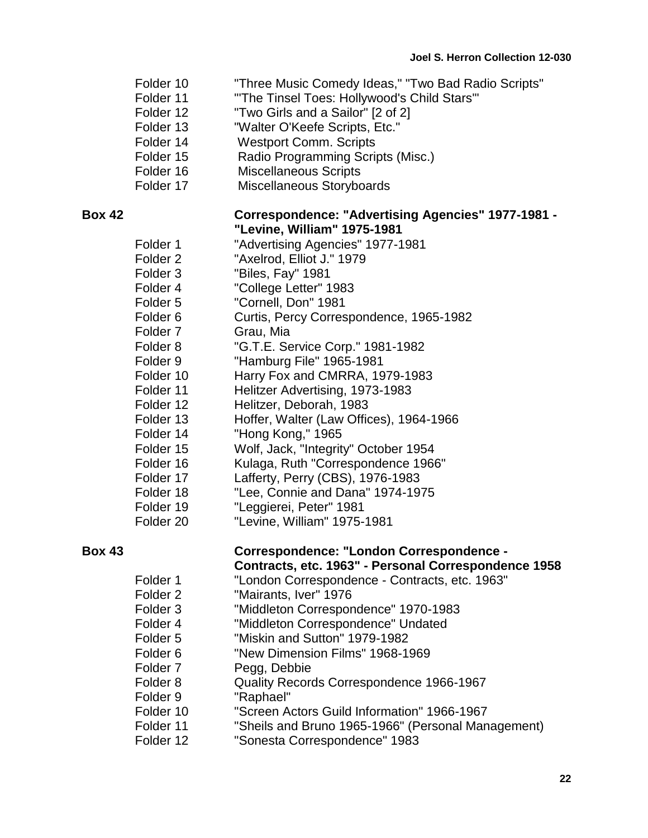- Folder 10 "Three Music Comedy Ideas," "Two Bad Radio Scripts"
- Folder 11 "The Tinsel Toes: Hollywood's Child Stars"
- Folder 12 "Two Girls and a Sailor" [2 of 2]
- Folder 13 "Walter O'Keefe Scripts, Etc."
- Folder 14 Westport Comm. Scripts
- Folder 15 Radio Programming Scripts (Misc.)
- Folder 16 Miscellaneous Scripts
- Folder 17 Miscellaneous Storyboards

### **Box 42 Correspondence: "Advertising Agencies" 1977-1981 - "Levine, William" 1975-1981**

| Folder 1             | "Advertising Agencies" 1977-1981        |
|----------------------|-----------------------------------------|
| Folder 2             | "Axelrod, Elliot J." 1979               |
| Folder 3             | "Biles, Fay" 1981                       |
| Folder 4             | "College Letter" 1983                   |
| Folder 5             | "Cornell, Don" 1981                     |
| Folder <sub>6</sub>  | Curtis, Percy Correspondence, 1965-1982 |
| Folder <sub>7</sub>  | Grau, Mia                               |
| Folder 8             | "G.T.E. Service Corp." 1981-1982        |
| Folder 9             | "Hamburg File" 1965-1981                |
| Folder 10            | Harry Fox and CMRRA, 1979-1983          |
| Folder 11            | Helitzer Advertising, 1973-1983         |
| Folder 12            | Helitzer, Deborah, 1983                 |
| Folder 13            | Hoffer, Walter (Law Offices), 1964-1966 |
| Folder 14            | "Hong Kong," 1965                       |
| Folder 15            | Wolf, Jack, "Integrity" October 1954    |
| Folder 16            | Kulaga, Ruth "Correspondence 1966"      |
| Folder 17            | Lafferty, Perry (CBS), 1976-1983        |
| Folder 18            | "Lee, Connie and Dana" 1974-1975        |
| Folder 19            | "Leggierei, Peter" 1981                 |
| Folder <sub>20</sub> | "Levine, William" 1975-1981             |

| <b>Box 43</b> | <b>Correspondence: "London Correspondence -</b>      |
|---------------|------------------------------------------------------|
|               | Contracts, etc. 1963" - Personal Correspondence 1958 |

- Folder 1 "London Correspondence Contracts, etc. 1963"
- Folder 2 "Mairants, Iver" 1976
- Folder 3 "Middleton Correspondence" 1970-1983
- Folder 4 "Middleton Correspondence" Undated
- Folder 5 "Miskin and Sutton" 1979-1982
- Folder 6 "New Dimension Films" 1968-1969
- Folder 7 Pegg, Debbie
- Folder 8 Quality Records Correspondence 1966-1967
- Folder 9 "Raphael"
- Folder 10 "Screen Actors Guild Information" 1966-1967
- Folder 11 "Sheils and Bruno 1965-1966" (Personal Management)
- Folder 12 "Sonesta Correspondence" 1983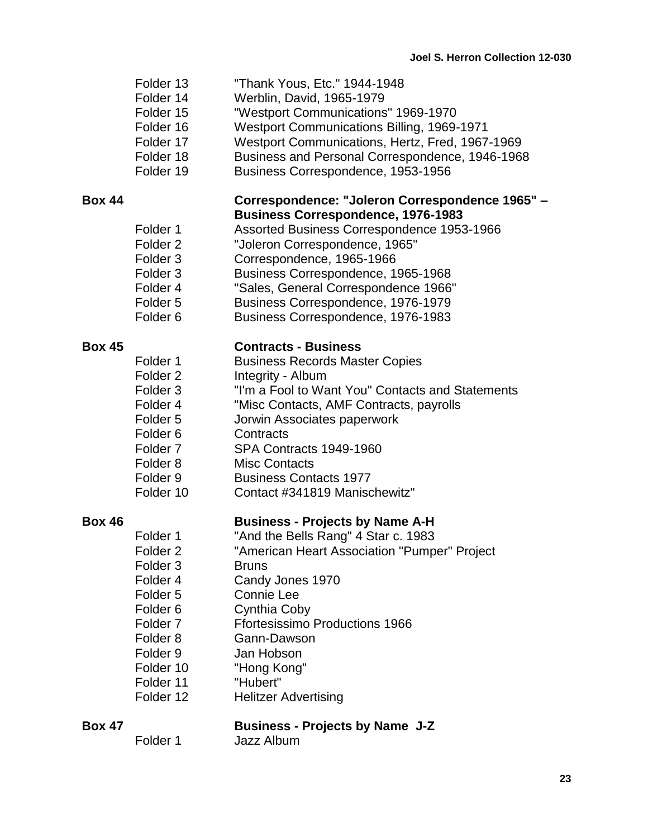| Folder 13 | "Thank Yous, Etc." 1944-1948 |
|-----------|------------------------------|
|-----------|------------------------------|

- Folder 14 Werblin, David, 1965-1979
- Folder 15 "Westport Communications" 1969-1970
- Folder 16 Westport Communications Billing, 1969-1971
- Folder 17 Westport Communications, Hertz, Fred, 1967-1969
- Folder 18 Business and Personal Correspondence, 1946-1968
- Folder 19 Business Correspondence, 1953-1956

### **Box 44 Correspondence: "Joleron Correspondence 1965" – Business Correspondence, 1976-1983**

- Folder 1 Assorted Business Correspondence 1953-1966
- Folder 2 "Joleron Correspondence, 1965"
- Folder 3 Correspondence, 1965-1966
- Folder 3 Business Correspondence, 1965-1968
- Folder 4 "Sales, General Correspondence 1966"
- Folder 5 Business Correspondence, 1976-1979
- Folder 6 Business Correspondence, 1976-1983

# **Box 45 Contracts - Business**

- Folder 1 Business Records Master Copies Folder 2 Integrity - Album Folder 3 "I'm a Fool to Want You" Contacts and Statements Folder 4 "Misc Contacts, AMF Contracts, payrolls Folder 5 Jorwin Associates paperwork Folder 6 Contracts Folder 7 SPA Contracts 1949-1960 Folder 8 Misc Contacts
- Folder 9 Business Contacts 1977
- Folder 10 Contact #341819 Manischewitz"

### **Box 46 Business - Projects by Name A-H**

- Folder 1 "And the Bells Rang" 4 Star c. 1983
- Folder 2 "American Heart Association "Pumper" Project
- Folder 3 Bruns
- Folder 4 Candy Jones 1970
- Folder 5 Connie Lee
- Folder 6 Cynthia Coby
- Folder 7 Ffortesissimo Productions 1966
- Folder 8 Gann-Dawson
- Folder 9 Jan Hobson
- Folder 10 "Hong Kong"
- Folder 11 "Hubert"
- Folder 12 Helitzer Advertising

### **Box 47 Business - Projects by Name J-Z** Folder 1 Jazz Album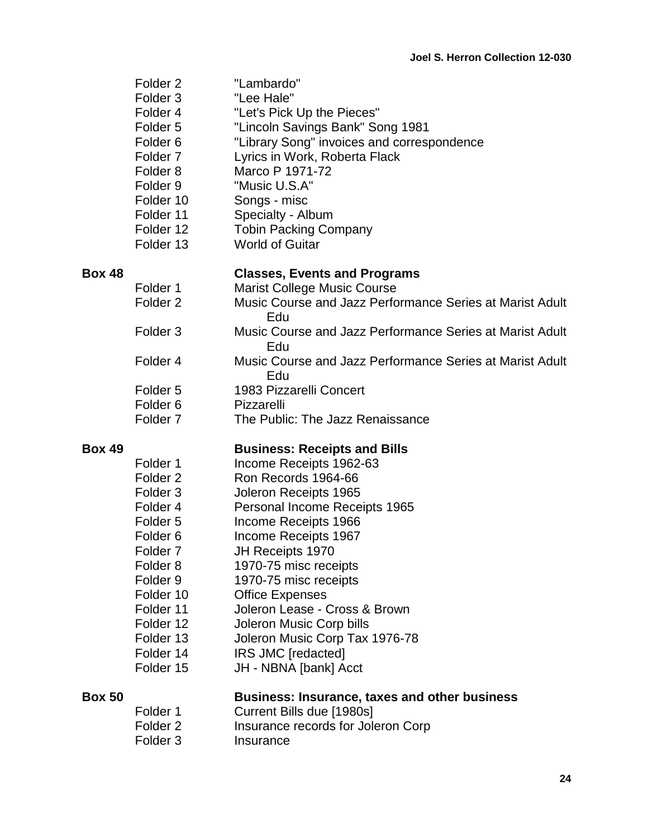| <b>Box 50</b> |                                                                                                                                                                                                                                              | <b>Business: Insurance, taxes and other business</b>                                                                                                                                                                                                                                                                                                                        |
|---------------|----------------------------------------------------------------------------------------------------------------------------------------------------------------------------------------------------------------------------------------------|-----------------------------------------------------------------------------------------------------------------------------------------------------------------------------------------------------------------------------------------------------------------------------------------------------------------------------------------------------------------------------|
|               | Folder <sub>2</sub><br>Folder <sub>3</sub><br>Folder 4<br>Folder <sub>5</sub><br>Folder <sub>6</sub><br>Folder 7<br>Folder <sub>8</sub><br>Folder <sub>9</sub><br>Folder 10<br>Folder 11<br>Folder 12<br>Folder 13<br>Folder 14<br>Folder 15 | Ron Records 1964-66<br>Joleron Receipts 1965<br>Personal Income Receipts 1965<br>Income Receipts 1966<br>Income Receipts 1967<br>JH Receipts 1970<br>1970-75 misc receipts<br>1970-75 misc receipts<br><b>Office Expenses</b><br>Joleron Lease - Cross & Brown<br>Joleron Music Corp bills<br>Joleron Music Corp Tax 1976-78<br>IRS JMC [redacted]<br>JH - NBNA [bank] Acct |
| <b>Box 49</b> | Folder 1                                                                                                                                                                                                                                     | <b>Business: Receipts and Bills</b><br>Income Receipts 1962-63                                                                                                                                                                                                                                                                                                              |
|               | Folder <sub>5</sub><br>Folder <sub>6</sub><br>Folder <sub>7</sub>                                                                                                                                                                            | 1983 Pizzarelli Concert<br>Pizzarelli<br>The Public: The Jazz Renaissance                                                                                                                                                                                                                                                                                                   |
|               | Folder 4                                                                                                                                                                                                                                     | Music Course and Jazz Performance Series at Marist Adult<br>Edu                                                                                                                                                                                                                                                                                                             |
|               | Folder <sub>2</sub><br>Folder <sub>3</sub>                                                                                                                                                                                                   | Edu<br>Music Course and Jazz Performance Series at Marist Adult<br>Edu                                                                                                                                                                                                                                                                                                      |
| <b>Box 48</b> | Folder 1                                                                                                                                                                                                                                     | <b>Classes, Events and Programs</b><br><b>Marist College Music Course</b><br>Music Course and Jazz Performance Series at Marist Adult                                                                                                                                                                                                                                       |
|               | Folder <sub>2</sub><br>Folder <sub>3</sub><br>Folder 4<br>Folder <sub>5</sub><br>Folder <sub>6</sub><br>Folder <sub>7</sub><br>Folder <sub>8</sub><br>Folder 9<br>Folder 10<br>Folder 11<br>Folder 12<br>Folder 13                           | "Lambardo"<br>"Lee Hale"<br>"Let's Pick Up the Pieces"<br>"Lincoln Savings Bank" Song 1981<br>"Library Song" invoices and correspondence<br>Lyrics in Work, Roberta Flack<br>Marco P 1971-72<br>"Music U.S.A"<br>Songs - misc<br>Specialty - Album<br><b>Tobin Packing Company</b><br><b>World of Guitar</b>                                                                |

| Folder 1 | Current Bills due [1980s]          |
|----------|------------------------------------|
| Folder 2 | Insurance records for Joleron Corp |
| Folder 3 | Insurance                          |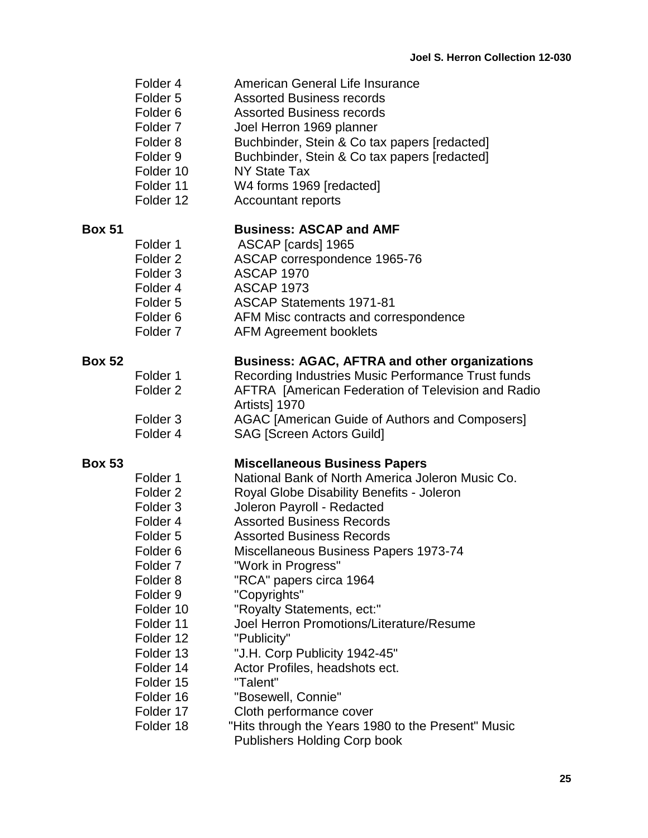- Folder 4 American General Life Insurance
- Folder 5 Assorted Business records
- Folder 6 Assorted Business records
- Folder 7 Joel Herron 1969 planner
- Folder 8 Buchbinder, Stein & Co tax papers [redacted]
- Folder 9 Buchbinder, Stein & Co tax papers [redacted]
- Folder 10 NY State Tax
- Folder 11 W4 forms 1969 [redacted]
- Folder 12 Accountant reports

### **Box 51 Business: ASCAP and AMF**

- Folder 1 ASCAP [cards] 1965 Folder 2 ASCAP correspondence 1965-76
- Folder 3 ASCAP 1970
- Folder 4 ASCAP 1973
- Folder 5 ASCAP Statements 1971-81
- Folder 6 AFM Misc contracts and correspondence
- Folder 7 AFM Agreement booklets

### **Box 52 Business: AGAC, AFTRA and other organizations**

- Folder 1 Recording Industries Music Performance Trust funds Folder 2 **AFTRA [American Federation of Television and Radio** Artists] 1970 Folder 3 AGAC [American Guide of Authors and Composers]
- Folder 4 **SAG** [Screen Actors Guild]

### **Box 53 Miscellaneous Business Papers**

Folder 1 National Bank of North America Joleron Music Co. Folder 2 Royal Globe Disability Benefits - Joleron Folder 3 Joleron Payroll - Redacted Folder 4 Assorted Business Records Folder 5 **Assorted Business Records** Folder 6 Miscellaneous Business Papers 1973-74 Folder 7 "Work in Progress" Folder 8 "RCA" papers circa 1964 Folder 9 "Copyrights" Folder 10 "Royalty Statements, ect:" Folder 11 Joel Herron Promotions/Literature/Resume Folder 12 "Publicity" Folder 13 "J.H. Corp Publicity 1942-45" Folder 14 Actor Profiles, headshots ect. Folder 15 "Talent" Folder 16 "Bosewell, Connie" Folder 17 Cloth performance cover Folder 18 "Hits through the Years 1980 to the Present" Music Publishers Holding Corp book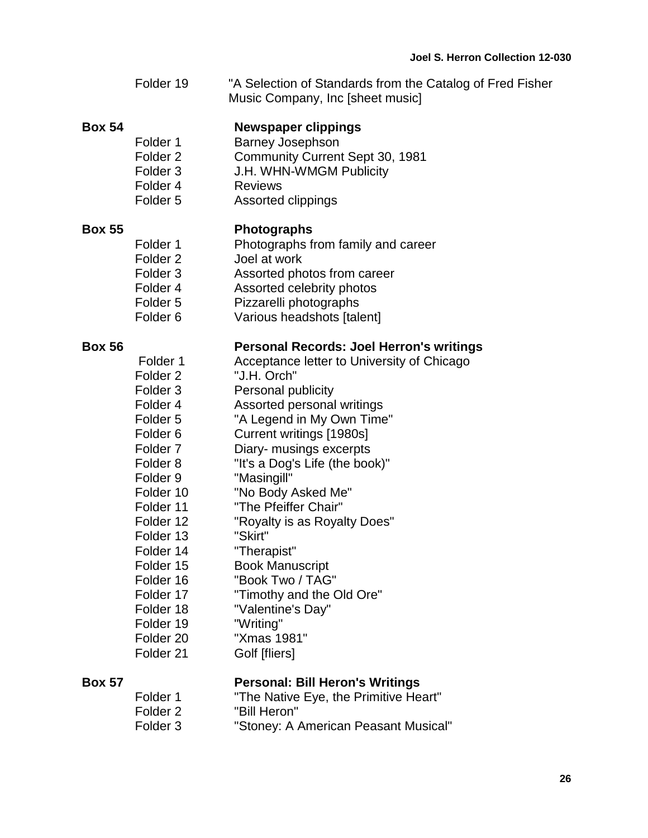|               | Folder 19                                                                                                                                                                                                                                                                                                                                                               | "A Selection of Standards from the Catalog of Fred Fisher<br>Music Company, Inc [sheet music]                                                                                                                                                                                                                                                                                                                                                                                                                                                              |
|---------------|-------------------------------------------------------------------------------------------------------------------------------------------------------------------------------------------------------------------------------------------------------------------------------------------------------------------------------------------------------------------------|------------------------------------------------------------------------------------------------------------------------------------------------------------------------------------------------------------------------------------------------------------------------------------------------------------------------------------------------------------------------------------------------------------------------------------------------------------------------------------------------------------------------------------------------------------|
| <b>Box 54</b> | Folder 1<br>Folder <sub>2</sub><br>Folder <sub>3</sub><br>Folder 4<br>Folder <sub>5</sub>                                                                                                                                                                                                                                                                               | <b>Newspaper clippings</b><br><b>Barney Josephson</b><br>Community Current Sept 30, 1981<br>J.H. WHN-WMGM Publicity<br><b>Reviews</b><br>Assorted clippings                                                                                                                                                                                                                                                                                                                                                                                                |
| <b>Box 55</b> | Folder 1<br>Folder <sub>2</sub><br>Folder <sub>3</sub><br>Folder 4<br>Folder <sub>5</sub><br>Folder <sub>6</sub>                                                                                                                                                                                                                                                        | <b>Photographs</b><br>Photographs from family and career<br>Joel at work<br>Assorted photos from career<br>Assorted celebrity photos<br>Pizzarelli photographs<br>Various headshots [talent]                                                                                                                                                                                                                                                                                                                                                               |
| <b>Box 56</b> | Folder 1<br>Folder <sub>2</sub><br>Folder <sub>3</sub><br>Folder 4<br>Folder <sub>5</sub><br>Folder <sub>6</sub><br>Folder <sub>7</sub><br>Folder <sub>8</sub><br>Folder <sub>9</sub><br>Folder 10<br>Folder 11<br>Folder 12<br>Folder 13<br>Folder 14<br>Folder 15<br>Folder 16<br>Folder 17<br>Folder 18<br>Folder 19<br>Folder <sub>20</sub><br>Folder <sub>21</sub> | <b>Personal Records: Joel Herron's writings</b><br>Acceptance letter to University of Chicago<br>"J.H. Orch"<br>Personal publicity<br>Assorted personal writings<br>"A Legend in My Own Time"<br>Current writings [1980s]<br>Diary- musings excerpts<br>"It's a Dog's Life (the book)"<br>"Masingill"<br>"No Body Asked Me"<br>"The Pfeiffer Chair"<br>"Royalty is as Royalty Does"<br>"Skirt"<br>"Therapist"<br><b>Book Manuscript</b><br>"Book Two / TAG"<br>"Timothy and the Old Ore"<br>"Valentine's Day"<br>"Writing"<br>"Xmas 1981"<br>Golf [fliers] |
| <b>Box 57</b> | $F \cap M \cap r$ 1                                                                                                                                                                                                                                                                                                                                                     | <b>Personal: Bill Heron's Writings</b><br>"The Native Eve the Drimitive Heart"                                                                                                                                                                                                                                                                                                                                                                                                                                                                             |

| Folder 1 | "The Native Eye, the Primitive Heart" |
|----------|---------------------------------------|
| Folder 2 | "Bill Heron"                          |
| Folder 3 | "Stoney: A American Peasant Musical"  |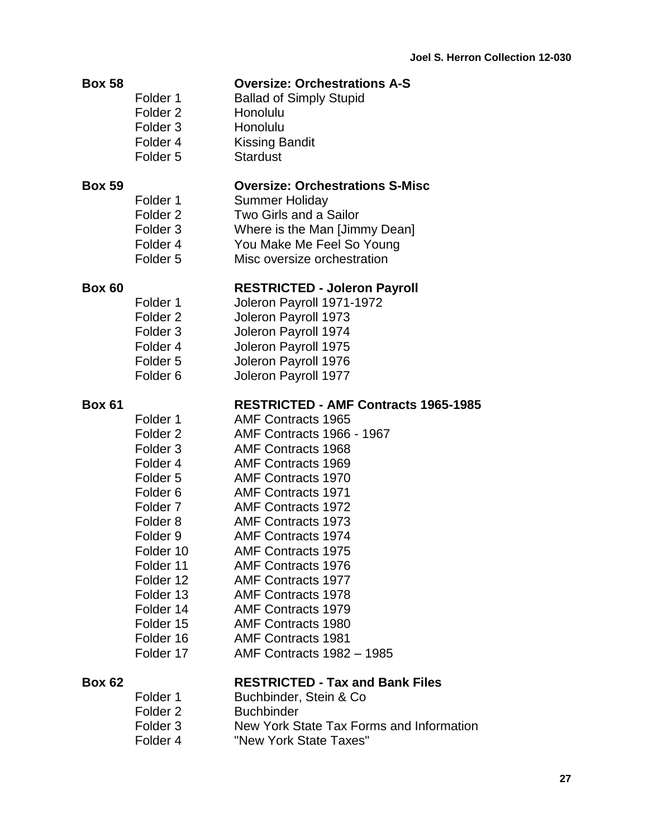| <b>Box 58</b> |          | <b>Oversize: Orchestrations A-S</b> |  |
|---------------|----------|-------------------------------------|--|
|               | Folder 1 | <b>Ballad of Simply Stupid</b>      |  |
|               | Folder 2 | Honolulu                            |  |
|               | Folder 3 | Honolulu                            |  |
|               | Folder 4 | <b>Kissing Bandit</b>               |  |
|               | Folder 5 | <b>Stardust</b>                     |  |

### **Box 59 Oversize: Orchestrations S-Misc**

- Folder 1 Summer Holiday Folder 2 Two Girls and a Sailor Folder 3 Where is the Man [Jimmy Dean] Folder 4 You Make Me Feel So Young
- Folder 5 Misc oversize orchestration

### **Box 60 RESTRICTED - Joleron Payroll**

Folder 1 Joleron Payroll 1971-1972 Folder 2 Joleron Payroll 1973 Folder 3 Joleron Payroll 1974 Folder 4 Joleron Payroll 1975 Folder 5 Joleron Payroll 1976 Folder 6 Joleron Payroll 1977

### **Box 61 RESTRICTED - AMF Contracts 1965-1985**

Folder 1 AMF Contracts 1965 Folder 2 AMF Contracts 1966 - 1967 Folder 3 AMF Contracts 1968 Folder 4 AMF Contracts 1969 Folder 5 AMF Contracts 1970 Folder 6 AMF Contracts 1971 Folder 7 AMF Contracts 1972 Folder 8 AMF Contracts 1973 Folder 9 AMF Contracts 1974 Folder 10 AMF Contracts 1975 Folder 11 AMF Contracts 1976 Folder 12 AMF Contracts 1977 Folder 13 AMF Contracts 1978 Folder 14 AMF Contracts 1979 Folder 15 AMF Contracts 1980 Folder 16 AMF Contracts 1981 Folder 17 AMF Contracts 1982 – 1985

# **Box 62 RESTRICTED - Tax and Bank Files**

| Folder 1 | Buchbinder, Stein & Co.                  |
|----------|------------------------------------------|
| Folder 2 | <b>Buchbinder</b>                        |
| Folder 3 | New York State Tax Forms and Information |
| Folder 4 | "New York State Taxes"                   |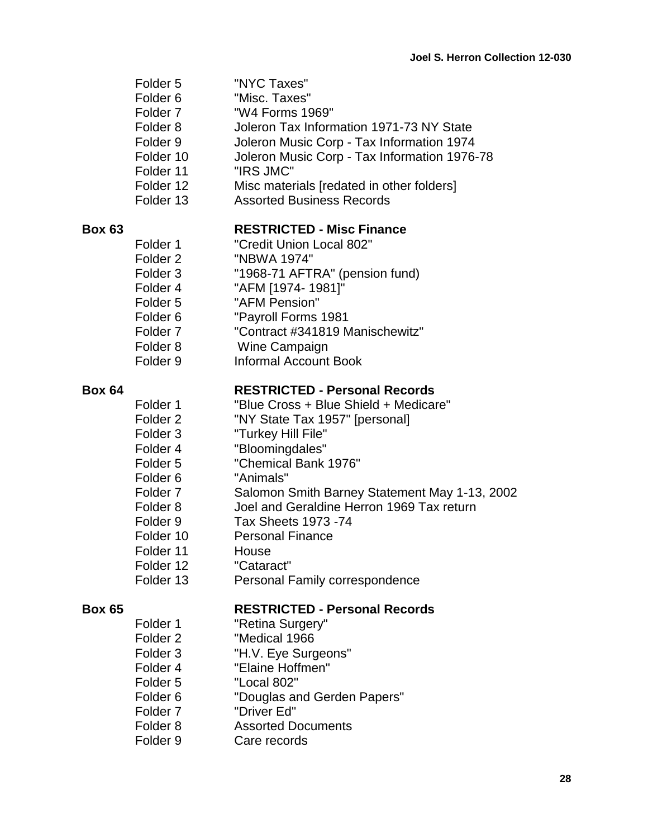- Folder 5 "NYC Taxes"
- Folder 6 "Misc. Taxes"
- Folder 7 "W4 Forms 1969"
- Folder 8 Joleron Tax Information 1971-73 NY State
- Folder 9 Joleron Music Corp Tax Information 1974
- Folder 10 Joleron Music Corp Tax Information 1976-78
- Folder 11 "IRS JMC"
- Folder 12 Misc materials [redated in other folders]
- Folder 13 Assorted Business Records

### **Box 63 RESTRICTED - Misc Finance**

Folder 1 "Credit Union Local 802" Folder 2 "NBWA 1974" Folder 3 "1968-71 AFTRA" (pension fund) Folder 4 "AFM [1974- 1981]" Folder 5 "AFM Pension" Folder 6 "Payroll Forms 1981 Folder 7 "Contract #341819 Manischewitz" Folder 8 Wine Campaign Folder 9 Informal Account Book

### **Box 64 RESTRICTED - Personal Records**

### Folder 1 "Blue Cross + Blue Shield + Medicare" Folder 2 "NY State Tax 1957" [personal] Folder 3 "Turkey Hill File" Folder 4 "Bloomingdales" Folder 5 "Chemical Bank 1976" Folder 6 "Animals" Folder 7 Salomon Smith Barney Statement May 1-13, 2002 Folder 8 Joel and Geraldine Herron 1969 Tax return Folder 9 Tax Sheets 1973 -74

- 
- Folder 10 Personal Finance
- Folder 11 House
- Folder 12 "Cataract"
- Folder 13 **Personal Family correspondence**

### **Box 65 RESTRICTED - Personal Records**

- Folder 1 "Retina Surgery"
- Folder 2 "Medical 1966
- Folder 3 "H.V. Eye Surgeons"
- Folder 4 "Elaine Hoffmen"
- Folder 5 "Local 802"
- Folder 6 "Douglas and Gerden Papers"
- Folder 7 "Driver Ed"
- Folder 8 Assorted Documents
- Folder 9 Care records